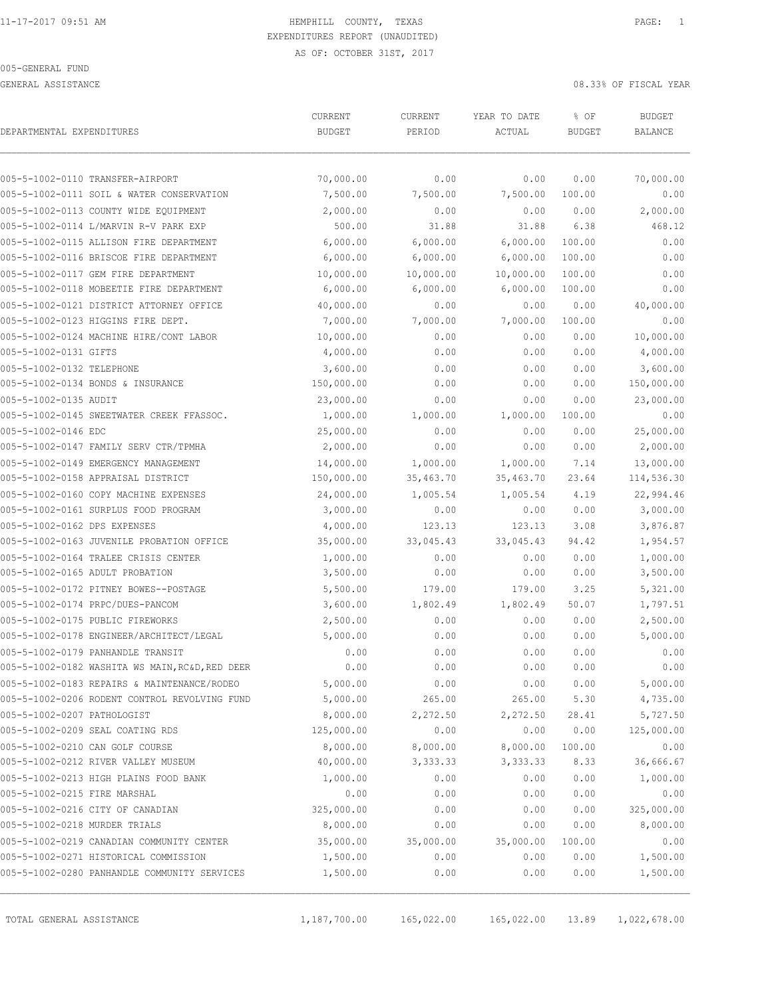GENERAL ASSISTANCE 08.33% OF FISCAL YEAR

|                                                 | CURRENT       | CURRENT   | YEAR TO DATE | % OF          | <b>BUDGET</b>  |
|-------------------------------------------------|---------------|-----------|--------------|---------------|----------------|
| DEPARTMENTAL EXPENDITURES                       | <b>BUDGET</b> | PERIOD    | ACTUAL       | <b>BUDGET</b> | <b>BALANCE</b> |
| 005-5-1002-0110 TRANSFER-AIRPORT                | 70,000.00     | 0.00      | 0.00         | 0.00          | 70,000.00      |
| 005-5-1002-0111 SOIL & WATER CONSERVATION       | 7,500.00      | 7,500.00  | 7,500.00     | 100.00        | 0.00           |
| 005-5-1002-0113 COUNTY WIDE EQUIPMENT           | 2,000.00      | 0.00      | 0.00         | 0.00          | 2,000.00       |
| 005-5-1002-0114 L/MARVIN R-V PARK EXP           | 500.00        | 31.88     | 31.88        | 6.38          | 468.12         |
| 005-5-1002-0115 ALLISON FIRE DEPARTMENT         | 6,000.00      | 6,000.00  | 6,000.00     | 100.00        | 0.00           |
| 005-5-1002-0116 BRISCOE FIRE DEPARTMENT         | 6,000.00      | 6,000.00  | 6,000.00     | 100.00        | 0.00           |
| 005-5-1002-0117 GEM FIRE DEPARTMENT             | 10,000.00     | 10,000.00 | 10,000.00    | 100.00        | 0.00           |
| 005-5-1002-0118 MOBEETIE FIRE DEPARTMENT        | 6,000.00      | 6,000.00  | 6,000.00     | 100.00        | 0.00           |
| 005-5-1002-0121 DISTRICT ATTORNEY OFFICE        | 40,000.00     | 0.00      | 0.00         | 0.00          | 40,000.00      |
| 005-5-1002-0123 HIGGINS FIRE DEPT.              | 7,000.00      | 7,000.00  | 7,000.00     | 100.00        | 0.00           |
| 005-5-1002-0124 MACHINE HIRE/CONT LABOR         | 10,000.00     | 0.00      | 0.00         | 0.00          | 10,000.00      |
| 005-5-1002-0131 GIFTS                           | 4,000.00      | 0.00      | 0.00         | 0.00          | 4,000.00       |
| 005-5-1002-0132 TELEPHONE                       | 3,600.00      | 0.00      | 0.00         | 0.00          | 3,600.00       |
| 005-5-1002-0134 BONDS & INSURANCE               | 150,000.00    | 0.00      | 0.00         | 0.00          | 150,000.00     |
| 005-5-1002-0135 AUDIT                           | 23,000.00     | 0.00      | 0.00         | 0.00          | 23,000.00      |
| 005-5-1002-0145 SWEETWATER CREEK FFASSOC.       | 1,000.00      | 1,000.00  | 1,000.00     | 100.00        | 0.00           |
| 005-5-1002-0146 EDC                             | 25,000.00     | 0.00      | 0.00         | 0.00          | 25,000.00      |
| 005-5-1002-0147 FAMILY SERV CTR/TPMHA           | 2,000.00      | 0.00      | 0.00         | 0.00          | 2,000.00       |
| 005-5-1002-0149 EMERGENCY MANAGEMENT            | 14,000.00     | 1,000.00  | 1,000.00     | 7.14          | 13,000.00      |
| 005-5-1002-0158 APPRAISAL DISTRICT              | 150,000.00    | 35,463.70 | 35,463.70    | 23.64         | 114,536.30     |
| 005-5-1002-0160 COPY MACHINE EXPENSES           | 24,000.00     | 1,005.54  | 1,005.54     | 4.19          | 22,994.46      |
| 005-5-1002-0161 SURPLUS FOOD PROGRAM            | 3,000.00      | 0.00      | 0.00         | 0.00          | 3,000.00       |
| 005-5-1002-0162 DPS EXPENSES                    | 4,000.00      | 123.13    | 123.13       | 3.08          | 3,876.87       |
| 005-5-1002-0163 JUVENILE PROBATION OFFICE       | 35,000.00     | 33,045.43 | 33,045.43    | 94.42         | 1,954.57       |
| 005-5-1002-0164 TRALEE CRISIS CENTER            | 1,000.00      | 0.00      | 0.00         | 0.00          | 1,000.00       |
| 005-5-1002-0165 ADULT PROBATION                 | 3,500.00      | 0.00      | 0.00         | 0.00          | 3,500.00       |
| 005-5-1002-0172 PITNEY BOWES--POSTAGE           | 5,500.00      | 179.00    | 179.00       | 3.25          | 5,321.00       |
| 005-5-1002-0174 PRPC/DUES-PANCOM                | 3,600.00      | 1,802.49  | 1,802.49     | 50.07         | 1,797.51       |
| 005-5-1002-0175 PUBLIC FIREWORKS                | 2,500.00      | 0.00      | 0.00         | 0.00          | 2,500.00       |
| 005-5-1002-0178 ENGINEER/ARCHITECT/LEGAL        | 5,000.00      | 0.00      | 0.00         | 0.00          | 5,000.00       |
| 005-5-1002-0179 PANHANDLE TRANSIT               | 0.00          | 0.00      | 0.00         | 0.00          | 0.00           |
| 005-5-1002-0182 WASHITA WS MAIN, RC&D, RED DEER | 0.00          | 0.00      | 0.00         | 0.00          | 0.00           |
| 005-5-1002-0183 REPAIRS & MAINTENANCE/RODEO     | 5,000.00      | 0.00      | 0.00         | 0.00          | 5,000.00       |
| 005-5-1002-0206 RODENT CONTROL REVOLVING FUND   | 5,000.00      | 265.00    | 265.00       | 5.30          | 4,735.00       |
| 005-5-1002-0207 PATHOLOGIST                     | 8,000.00      | 2,272.50  | 2,272.50     | 28.41         | 5,727.50       |
| 005-5-1002-0209 SEAL COATING RDS                | 125,000.00    | 0.00      | 0.00         | 0.00          | 125,000.00     |
| 005-5-1002-0210 CAN GOLF COURSE                 | 8,000.00      | 8,000.00  | 8,000.00     | 100.00        | 0.00           |
| 005-5-1002-0212 RIVER VALLEY MUSEUM             | 40,000.00     | 3,333.33  | 3, 333.33    | 8.33          | 36,666.67      |
| 005-5-1002-0213 HIGH PLAINS FOOD BANK           | 1,000.00      | 0.00      | 0.00         | 0.00          | 1,000.00       |
| 005-5-1002-0215 FIRE MARSHAL                    | 0.00          | 0.00      | 0.00         | 0.00          | 0.00           |
| 005-5-1002-0216 CITY OF CANADIAN                | 325,000.00    | 0.00      | 0.00         | 0.00          | 325,000.00     |
| 005-5-1002-0218 MURDER TRIALS                   | 8,000.00      | 0.00      | 0.00         | 0.00          | 8,000.00       |
| 005-5-1002-0219 CANADIAN COMMUNITY CENTER       | 35,000.00     | 35,000.00 | 35,000.00    | 100.00        | 0.00           |
| 005-5-1002-0271 HISTORICAL COMMISSION           | 1,500.00      | 0.00      | 0.00         | 0.00          | 1,500.00       |
| 005-5-1002-0280 PANHANDLE COMMUNITY SERVICES    | 1,500.00      | 0.00      | 0.00         | 0.00          | 1,500.00       |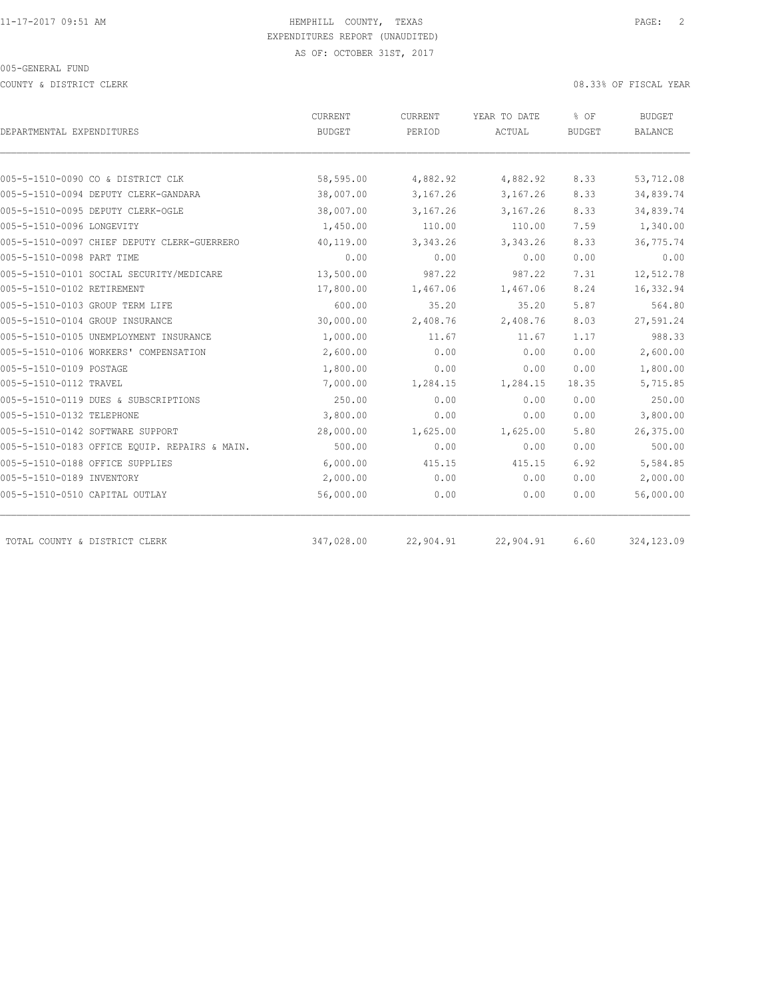COUNTY & DISTRICT CLERK 08.33% OF FISCAL YEAR

|                                               | CURRENT       | CURRENT   | YEAR TO DATE | % OF          | BUDGET         |  |
|-----------------------------------------------|---------------|-----------|--------------|---------------|----------------|--|
| DEPARTMENTAL EXPENDITURES                     | <b>BUDGET</b> | PERIOD    | ACTUAL       | <b>BUDGET</b> | <b>BALANCE</b> |  |
|                                               |               |           |              |               |                |  |
| 005-5-1510-0090 CO & DISTRICT CLK             | 58,595.00     | 4,882.92  | 4,882.92     | 8.33          | 53,712.08      |  |
| 005-5-1510-0094 DEPUTY CLERK-GANDARA          | 38,007.00     | 3,167.26  | 3,167.26     | 8.33          | 34,839.74      |  |
| 005-5-1510-0095 DEPUTY CLERK-OGLE             | 38,007.00     | 3,167.26  | 3,167.26     | 8.33          | 34,839.74      |  |
| 005-5-1510-0096 LONGEVITY                     | 1,450.00      | 110.00    | 110.00       | 7.59          | 1,340.00       |  |
| 005-5-1510-0097 CHIEF DEPUTY CLERK-GUERRERO   | 40,119.00     | 3,343.26  | 3, 343.26    | 8.33          | 36,775.74      |  |
| 005-5-1510-0098 PART TIME                     | 0.00          | 0.00      | 0.00         | 0.00          | 0.00           |  |
| 005-5-1510-0101 SOCIAL SECURITY/MEDICARE      | 13,500.00     | 987.22    | 987.22       | 7.31          | 12,512.78      |  |
| 005-5-1510-0102 RETIREMENT                    | 17,800.00     | 1,467.06  | 1,467.06     | 8.24          | 16,332.94      |  |
| 005-5-1510-0103 GROUP TERM LIFE               | 600.00        | 35.20     | 35.20        | 5.87          | 564.80         |  |
| 005-5-1510-0104 GROUP INSURANCE               | 30,000.00     | 2,408.76  | 2,408.76     | 8.03          | 27,591.24      |  |
| 005-5-1510-0105 UNEMPLOYMENT INSURANCE        | 1,000.00      | 11.67     | 11.67        | 1.17          | 988.33         |  |
| 005-5-1510-0106 WORKERS' COMPENSATION         | 2,600.00      | 0.00      | 0.00         | 0.00          | 2,600.00       |  |
| 005-5-1510-0109 POSTAGE                       | 1,800.00      | 0.00      | 0.00         | 0.00          | 1,800.00       |  |
| 005-5-1510-0112 TRAVEL                        | 7,000.00      | 1,284.15  | 1,284.15     | 18.35         | 5,715.85       |  |
| 005-5-1510-0119 DUES & SUBSCRIPTIONS          | 250.00        | 0.00      | 0.00         | 0.00          | 250.00         |  |
| 005-5-1510-0132 TELEPHONE                     | 3,800.00      | 0.00      | 0.00         | 0.00          | 3,800.00       |  |
| 005-5-1510-0142 SOFTWARE SUPPORT              | 28,000.00     | 1,625.00  | 1,625.00     | 5.80          | 26,375.00      |  |
| 005-5-1510-0183 OFFICE EOUIP. REPAIRS & MAIN. | 500.00        | 0.00      | 0.00         | 0.00          | 500.00         |  |
| 005-5-1510-0188 OFFICE SUPPLIES               | 6,000.00      | 415.15    | 415.15       | 6.92          | 5,584.85       |  |
| 005-5-1510-0189 INVENTORY                     | 2,000.00      | 0.00      | 0.00         | 0.00          | 2,000.00       |  |
| 005-5-1510-0510 CAPITAL OUTLAY                | 56,000.00     | 0.00      | 0.00         | 0.00          | 56,000.00      |  |
|                                               |               |           |              |               |                |  |
| TOTAL COUNTY & DISTRICT CLERK                 | 347,028.00    | 22,904.91 | 22,904.91    | 6.60          | 324, 123.09    |  |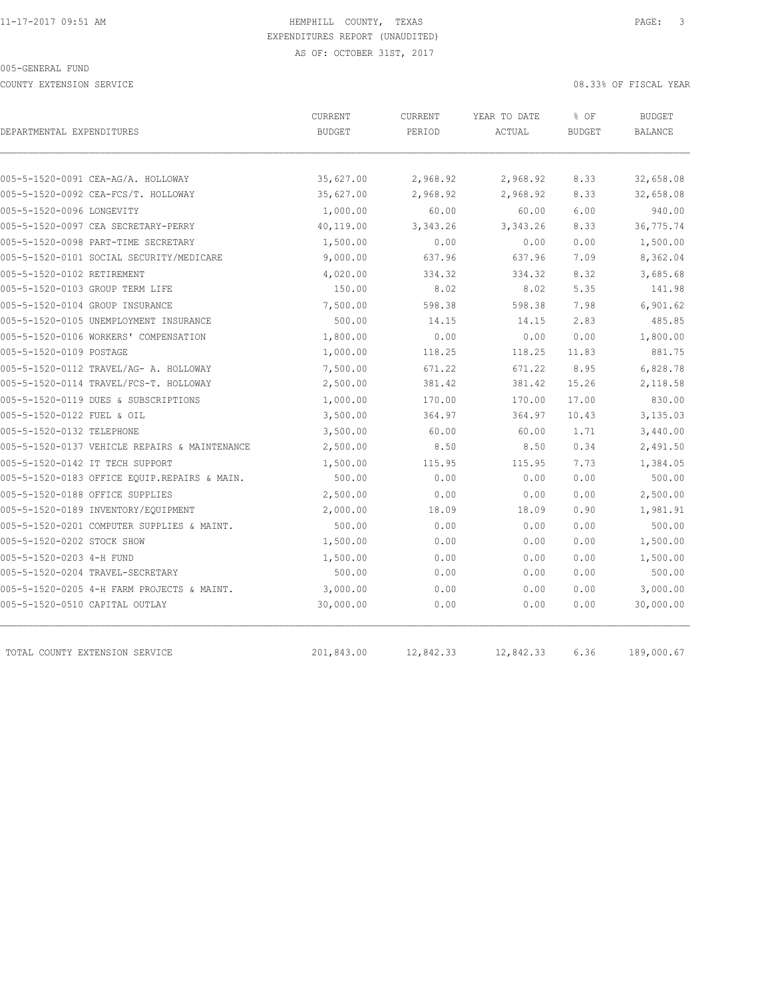COUNTY EXTENSION SERVICE 08.33% OF FISCAL YEAR

| DEPARTMENTAL EXPENDITURES                     | CURRENT<br><b>BUDGET</b> | CURRENT<br>PERIOD | YEAR TO DATE<br>ACTUAL | % OF<br><b>BUDGET</b> | <b>BUDGET</b><br>BALANCE |
|-----------------------------------------------|--------------------------|-------------------|------------------------|-----------------------|--------------------------|
|                                               |                          |                   |                        |                       |                          |
| 005-5-1520-0091 CEA-AG/A. HOLLOWAY            | 35,627.00                | 2,968.92          | 2,968.92               | 8.33                  | 32,658.08                |
| 005-5-1520-0092 CEA-FCS/T. HOLLOWAY           | 35,627.00                | 2,968.92          | 2,968.92               | 8.33                  | 32,658.08                |
| 005-5-1520-0096 LONGEVITY                     | 1,000.00                 | 60.00             | 60.00                  | 6.00                  | 940.00                   |
| 005-5-1520-0097 CEA SECRETARY-PERRY           | 40,119.00                | 3,343.26          | 3, 343.26              | 8.33                  | 36,775.74                |
| 005-5-1520-0098 PART-TIME SECRETARY           | 1,500.00                 | 0.00              | 0.00                   | 0.00                  | 1,500.00                 |
| 005-5-1520-0101 SOCIAL SECURITY/MEDICARE      | 9,000.00                 | 637.96            | 637.96                 | 7.09                  | 8,362.04                 |
| 005-5-1520-0102 RETIREMENT                    | 4,020.00                 | 334.32            | 334.32                 | 8.32                  | 3,685.68                 |
| 005-5-1520-0103 GROUP TERM LIFE               | 150.00                   | 8.02              | 8.02                   | 5.35                  | 141.98                   |
| 005-5-1520-0104 GROUP INSURANCE               | 7,500.00                 | 598.38            | 598.38                 | 7.98                  | 6,901.62                 |
| 005-5-1520-0105 UNEMPLOYMENT INSURANCE        | 500.00                   | 14.15             | 14.15                  | 2.83                  | 485.85                   |
| 005-5-1520-0106 WORKERS' COMPENSATION         | 1,800.00                 | 0.00              | 0.00                   | 0.00                  | 1,800.00                 |
| 005-5-1520-0109 POSTAGE                       | 1,000.00                 | 118.25            | 118.25                 | 11.83                 | 881.75                   |
| 005-5-1520-0112 TRAVEL/AG- A. HOLLOWAY        | 7,500.00                 | 671.22            | 671.22                 | 8.95                  | 6,828.78                 |
| 005-5-1520-0114 TRAVEL/FCS-T. HOLLOWAY        | 2,500.00                 | 381.42            | 381.42                 | 15.26                 | 2,118.58                 |
| 005-5-1520-0119 DUES & SUBSCRIPTIONS          | 1,000.00                 | 170.00            | 170.00                 | 17.00                 | 830.00                   |
| 005-5-1520-0122 FUEL & OIL                    | 3,500.00                 | 364.97            | 364.97                 | 10.43                 | 3,135.03                 |
| 005-5-1520-0132 TELEPHONE                     | 3,500.00                 | 60.00             | 60.00                  | 1.71                  | 3,440.00                 |
| 005-5-1520-0137 VEHICLE REPAIRS & MAINTENANCE | 2,500.00                 | 8.50              | 8.50                   | 0.34                  | 2,491.50                 |
| 005-5-1520-0142 IT TECH SUPPORT               | 1,500.00                 | 115.95            | 115.95                 | 7.73                  | 1,384.05                 |
| 005-5-1520-0183 OFFICE EQUIP.REPAIRS & MAIN.  | 500.00                   | 0.00              | 0.00                   | 0.00                  | 500.00                   |
| 005-5-1520-0188 OFFICE SUPPLIES               | 2,500.00                 | 0.00              | 0.00                   | 0.00                  | 2,500.00                 |
| 005-5-1520-0189 INVENTORY/EQUIPMENT           | 2,000.00                 | 18.09             | 18.09                  | 0.90                  | 1,981.91                 |
| 005-5-1520-0201 COMPUTER SUPPLIES & MAINT.    | 500.00                   | 0.00              | 0.00                   | 0.00                  | 500.00                   |
| 005-5-1520-0202 STOCK SHOW                    | 1,500.00                 | 0.00              | 0.00                   | 0.00                  | 1,500.00                 |
| 005-5-1520-0203 4-H FUND                      | 1,500.00                 | 0.00              | 0.00                   | 0.00                  | 1,500.00                 |
| 005-5-1520-0204 TRAVEL-SECRETARY              | 500.00                   | 0.00              | 0.00                   | 0.00                  | 500.00                   |
| 005-5-1520-0205 4-H FARM PROJECTS & MAINT.    | 3,000.00                 | 0.00              | 0.00                   | 0.00                  | 3,000.00                 |
| 005-5-1520-0510 CAPITAL OUTLAY                | 30,000.00                | 0.00              | 0.00                   | 0.00                  | 30,000.00                |
| TOTAL COUNTY EXTENSION SERVICE                | 201,843.00               | 12,842.33         | 12,842.33              | 6.36                  | 189,000.67               |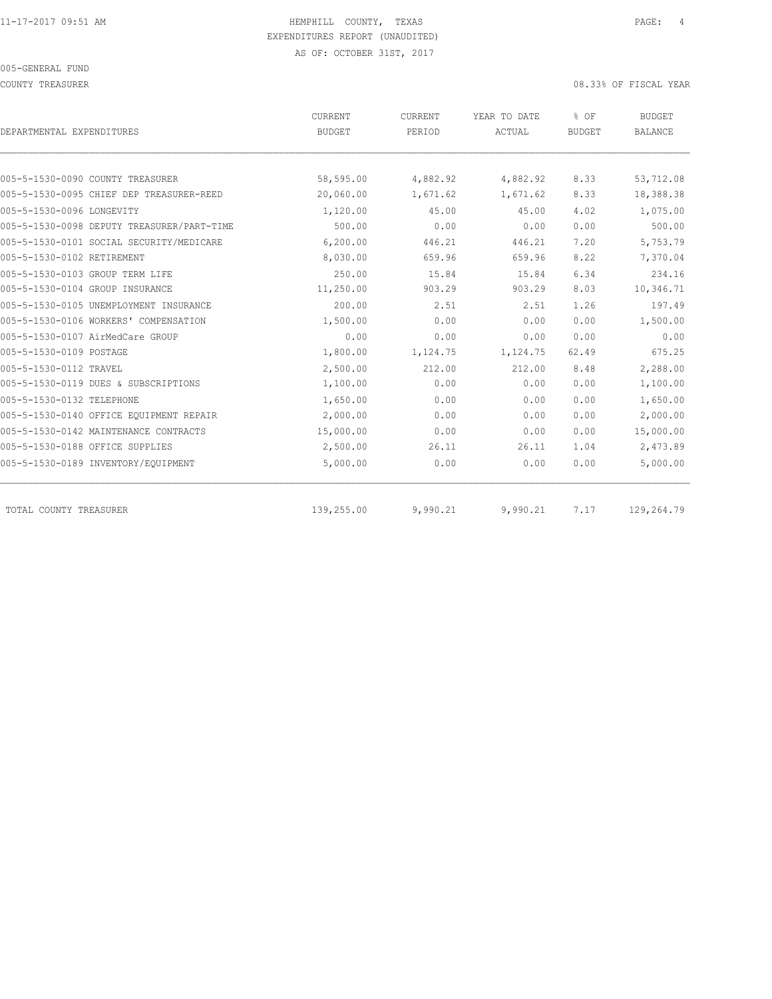COUNTY TREASURER COUNTY TREASURER COUNTY TREASURER

| DEPARTMENTAL EXPENDITURES                  | CURRENT<br><b>BUDGET</b> | CURRENT<br>PERIOD | YEAR TO DATE<br>ACTUAL | % OF<br><b>BUDGET</b> | <b>BUDGET</b><br><b>BALANCE</b> |
|--------------------------------------------|--------------------------|-------------------|------------------------|-----------------------|---------------------------------|
|                                            |                          |                   |                        |                       |                                 |
| 005-5-1530-0090 COUNTY TREASURER           | 58,595.00                | 4,882.92          | 4,882.92               | 8.33                  | 53,712.08                       |
| 005-5-1530-0095 CHIEF DEP TREASURER-REED   | 20,060.00                | 1,671.62          | 1,671.62               | 8.33                  | 18,388.38                       |
| 005-5-1530-0096 LONGEVITY                  | 1,120.00                 | 45.00             | 45.00                  | 4.02                  | 1,075.00                        |
| 005-5-1530-0098 DEPUTY TREASURER/PART-TIME | 500.00                   | 0.00              | 0.00                   | 0.00                  | 500.00                          |
| 005-5-1530-0101 SOCIAL SECURITY/MEDICARE   | 6,200.00                 | 446.21            | 446.21                 | 7.20                  | 5,753.79                        |
| 005-5-1530-0102 RETIREMENT                 | 8,030.00                 | 659.96            | 659.96                 | 8.22                  | 7,370.04                        |
| 005-5-1530-0103 GROUP TERM LIFE            | 250.00                   | 15.84             | 15.84                  | 6.34                  | 234.16                          |
| 005-5-1530-0104 GROUP INSURANCE            | 11,250.00                | 903.29            | 903.29                 | 8.03                  | 10,346.71                       |
| 005-5-1530-0105 UNEMPLOYMENT INSURANCE     | 200.00                   | 2.51              | 2.51                   | 1.26                  | 197.49                          |
| 005-5-1530-0106 WORKERS' COMPENSATION      | 1,500.00                 | 0.00              | 0.00                   | 0.00                  | 1,500.00                        |
| 005-5-1530-0107 AirMedCare GROUP           | 0.00                     | 0.00              | 0.00                   | 0.00                  | 0.00                            |
| 005-5-1530-0109 POSTAGE                    | 1,800.00                 | 1,124.75          | 1,124.75               | 62.49                 | 675.25                          |
| 005-5-1530-0112 TRAVEL                     | 2,500.00                 | 212.00            | 212.00                 | 8.48                  | 2,288.00                        |
| 005-5-1530-0119 DUES & SUBSCRIPTIONS       | 1,100.00                 | 0.00              | 0.00                   | 0.00                  | 1,100.00                        |
| 005-5-1530-0132 TELEPHONE                  | 1,650.00                 | 0.00              | 0.00                   | 0.00                  | 1,650.00                        |
| 005-5-1530-0140 OFFICE EOUIPMENT REPAIR    | 2,000.00                 | 0.00              | 0.00                   | 0.00                  | 2,000.00                        |
| 005-5-1530-0142 MAINTENANCE CONTRACTS      | 15,000.00                | 0.00              | 0.00                   | 0.00                  | 15,000.00                       |
| 005-5-1530-0188 OFFICE SUPPLIES            | 2,500.00                 | 26.11             | 26.11                  | 1.04                  | 2,473.89                        |
| 005-5-1530-0189 INVENTORY/EQUIPMENT        | 5,000.00                 | 0.00              | 0.00                   | 0.00                  | 5,000.00                        |
| TOTAL COUNTY TREASURER                     | 139,255.00               | 9,990.21          | 9,990.21               | 7.17                  | 129,264.79                      |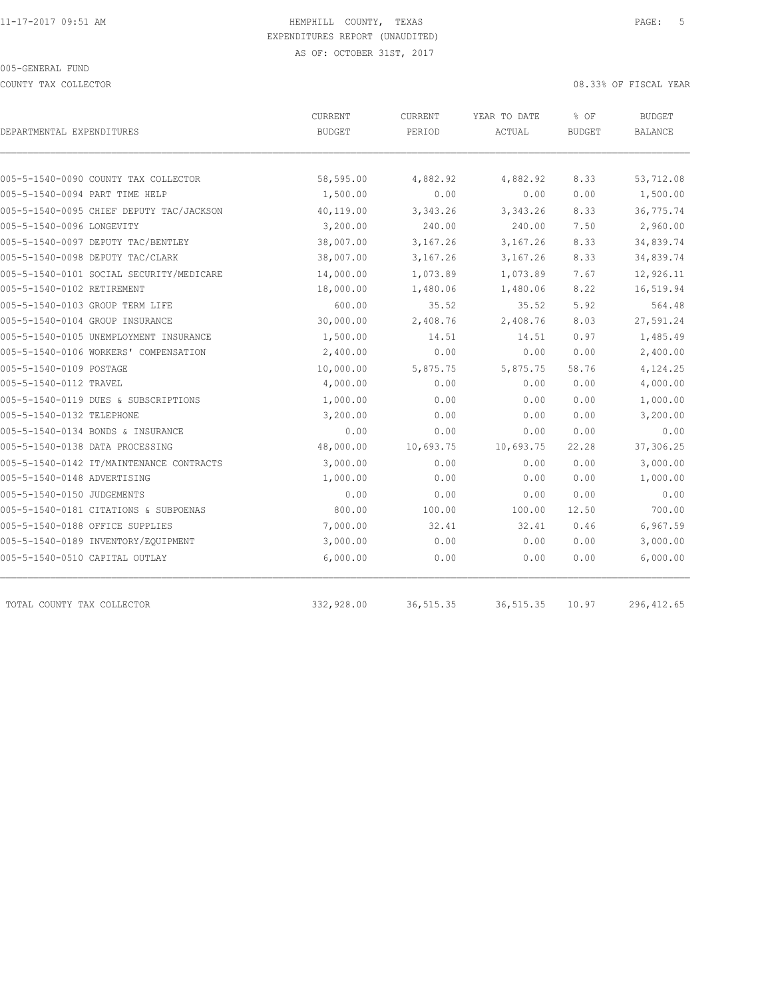COUNTY TAX COLLECTOR **COULECTOR COULECTOR COUNTY TAX COLLECTOR** 

| DEPARTMENTAL EXPENDITURES                | CURRENT<br><b>BUDGET</b> | CURRENT<br>PERIOD | YEAR TO DATE<br>ACTUAL | % OF<br><b>BUDGET</b> | BUDGET<br>BALANCE |
|------------------------------------------|--------------------------|-------------------|------------------------|-----------------------|-------------------|
|                                          |                          |                   |                        |                       |                   |
| 005-5-1540-0090 COUNTY TAX COLLECTOR     | 58,595.00                | 4,882.92          | 4,882.92               | 8.33                  | 53,712.08         |
| 005-5-1540-0094 PART TIME HELP           | 1,500.00                 | 0.00              | 0.00                   | 0.00                  | 1,500.00          |
| 005-5-1540-0095 CHIEF DEPUTY TAC/JACKSON | 40,119.00                | 3,343.26          | 3,343.26               | 8.33                  | 36,775.74         |
| 005-5-1540-0096 LONGEVITY                | 3,200.00                 | 240.00            | 240.00                 | 7.50                  | 2,960.00          |
| 005-5-1540-0097 DEPUTY TAC/BENTLEY       | 38,007.00                | 3,167.26          | 3,167.26               | 8.33                  | 34,839.74         |
| 005-5-1540-0098 DEPUTY TAC/CLARK         | 38,007.00                | 3,167.26          | 3,167.26               | 8.33                  | 34,839.74         |
| 005-5-1540-0101 SOCIAL SECURITY/MEDICARE | 14,000.00                | 1,073.89          | 1,073.89               | 7.67                  | 12,926.11         |
| 005-5-1540-0102 RETIREMENT               | 18,000.00                | 1,480.06          | 1,480.06               | 8.22                  | 16,519.94         |
| 005-5-1540-0103 GROUP TERM LIFE          | 600.00                   | 35.52             | 35.52                  | 5.92                  | 564.48            |
| 005-5-1540-0104 GROUP INSURANCE          | 30,000.00                | 2,408.76          | 2,408.76               | 8.03                  | 27,591.24         |
| 005-5-1540-0105 UNEMPLOYMENT INSURANCE   | 1,500.00                 | 14.51             | 14.51                  | 0.97                  | 1,485.49          |
| 005-5-1540-0106 WORKERS' COMPENSATION    | 2,400.00                 | 0.00              | 0.00                   | 0.00                  | 2,400.00          |
| 005-5-1540-0109 POSTAGE                  | 10,000.00                | 5,875.75          | 5,875.75               | 58.76                 | 4,124.25          |
| 005-5-1540-0112 TRAVEL                   | 4,000.00                 | 0.00              | 0.00                   | 0.00                  | 4,000.00          |
| 005-5-1540-0119 DUES & SUBSCRIPTIONS     | 1,000.00                 | 0.00              | 0.00                   | 0.00                  | 1,000.00          |
| 005-5-1540-0132 TELEPHONE                | 3,200.00                 | 0.00              | 0.00                   | 0.00                  | 3,200.00          |
| 005-5-1540-0134 BONDS & INSURANCE        | 0.00                     | 0.00              | 0.00                   | 0.00                  | 0.00              |
| 005-5-1540-0138 DATA PROCESSING          | 48,000.00                | 10,693.75         | 10,693.75              | 22.28                 | 37,306.25         |
| 005-5-1540-0142 IT/MAINTENANCE CONTRACTS | 3,000.00                 | 0.00              | 0.00                   | 0.00                  | 3,000.00          |
| 005-5-1540-0148 ADVERTISING              | 1,000.00                 | 0.00              | 0.00                   | 0.00                  | 1,000.00          |
| 005-5-1540-0150 JUDGEMENTS               | 0.00                     | 0.00              | 0.00                   | 0.00                  | 0.00              |
| 005-5-1540-0181 CITATIONS & SUBPOENAS    | 800.00                   | 100.00            | 100.00                 | 12.50                 | 700.00            |
| 005-5-1540-0188 OFFICE SUPPLIES          | 7,000.00                 | 32.41             | 32.41                  | 0.46                  | 6,967.59          |
| 005-5-1540-0189 INVENTORY/EQUIPMENT      | 3,000.00                 | 0.00              | 0.00                   | 0.00                  | 3,000.00          |
| 005-5-1540-0510 CAPITAL OUTLAY           | 6,000.00                 | 0.00              | 0.00                   | 0.00                  | 6,000.00          |
| TOTAL COUNTY TAX COLLECTOR               | 332,928.00               | 36, 515.35        | 36, 515.35             | 10.97                 | 296, 412.65       |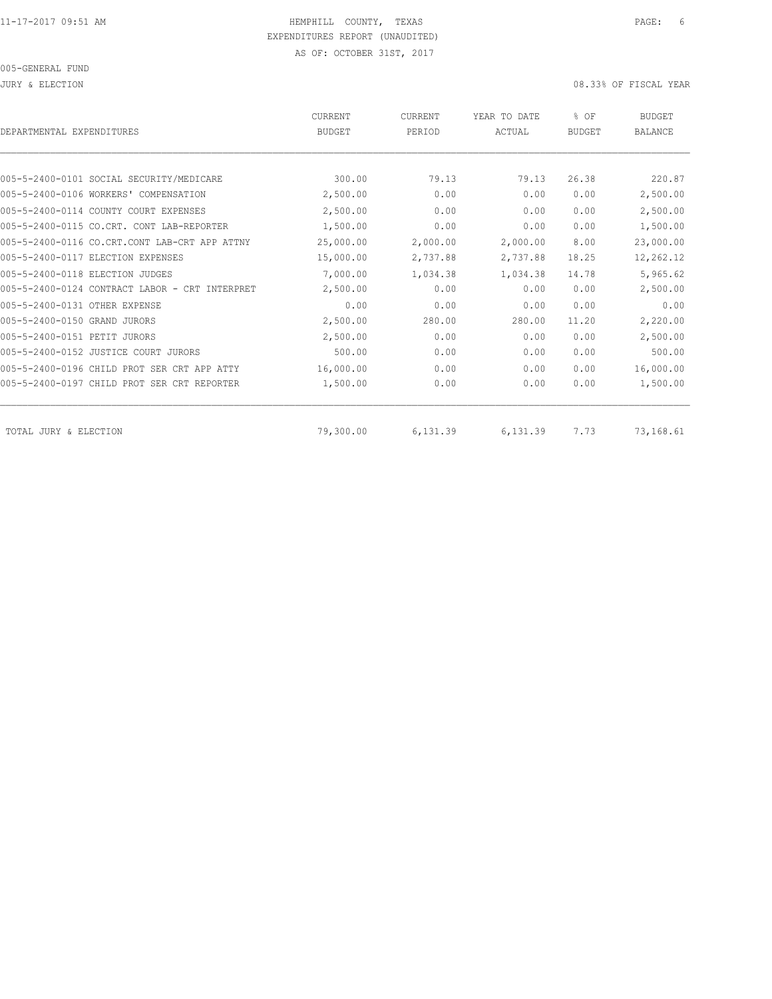| DEPARTMENTAL EXPENDITURES                      | <b>CURRENT</b><br><b>BUDGET</b> | CURRENT<br>PERIOD | YEAR TO DATE<br>ACTUAL | % OF<br><b>BUDGET</b> | <b>BUDGET</b><br><b>BALANCE</b> |
|------------------------------------------------|---------------------------------|-------------------|------------------------|-----------------------|---------------------------------|
|                                                |                                 |                   |                        |                       |                                 |
| 005-5-2400-0101 SOCIAL SECURITY/MEDICARE       | 300.00                          | 79.13             | 79.13                  | 26.38                 | 220.87                          |
| 005-5-2400-0106 WORKERS' COMPENSATION          | 2,500.00                        | 0.00              | 0.00                   | 0.00                  | 2,500.00                        |
| 005-5-2400-0114 COUNTY COURT EXPENSES          | 2,500.00                        | 0.00              | 0.00                   | 0.00                  | 2,500.00                        |
| 005-5-2400-0115 CO.CRT. CONT LAB-REPORTER      | 1,500.00                        | 0.00              | 0.00                   | 0.00                  | 1,500.00                        |
| 005-5-2400-0116 CO.CRT.CONT LAB-CRT APP ATTNY  | 25,000.00                       | 2,000.00          | 2,000.00               | 8.00                  | 23,000.00                       |
| 005-5-2400-0117 ELECTION EXPENSES              | 15,000.00                       | 2,737.88          | 2,737.88               | 18.25                 | 12,262.12                       |
| 005-5-2400-0118 ELECTION JUDGES                | 7,000.00                        | 1,034.38          | 1,034.38               | 14.78                 | 5,965.62                        |
| 005-5-2400-0124 CONTRACT LABOR - CRT INTERPRET | 2,500.00                        | 0.00              | 0.00                   | 0.00                  | 2,500.00                        |
| 005-5-2400-0131 OTHER EXPENSE                  | 0.00                            | 0.00              | 0.00                   | 0.00                  | 0.00                            |
| 005-5-2400-0150 GRAND JURORS                   | 2,500.00                        | 280.00            | 280.00                 | 11.20                 | 2,220.00                        |
| 005-5-2400-0151 PETIT JURORS                   | 2,500.00                        | 0.00              | 0.00                   | 0.00                  | 2,500.00                        |
| 005-5-2400-0152 JUSTICE COURT JURORS           | 500.00                          | 0.00              | 0.00                   | 0.00                  | 500.00                          |
| 005-5-2400-0196 CHILD PROT SER CRT APP ATTY    | 16,000.00                       | 0.00              | 0.00                   | 0.00                  | 16,000.00                       |
| 005-5-2400-0197 CHILD PROT SER CRT REPORTER    | 1,500.00                        | 0.00              | 0.00                   | 0.00                  | 1,500.00                        |
| TOTAL JURY & ELECTION                          | 79,300.00                       | 6,131.39          | 6,131.39               | 7.73                  | 73,168.61                       |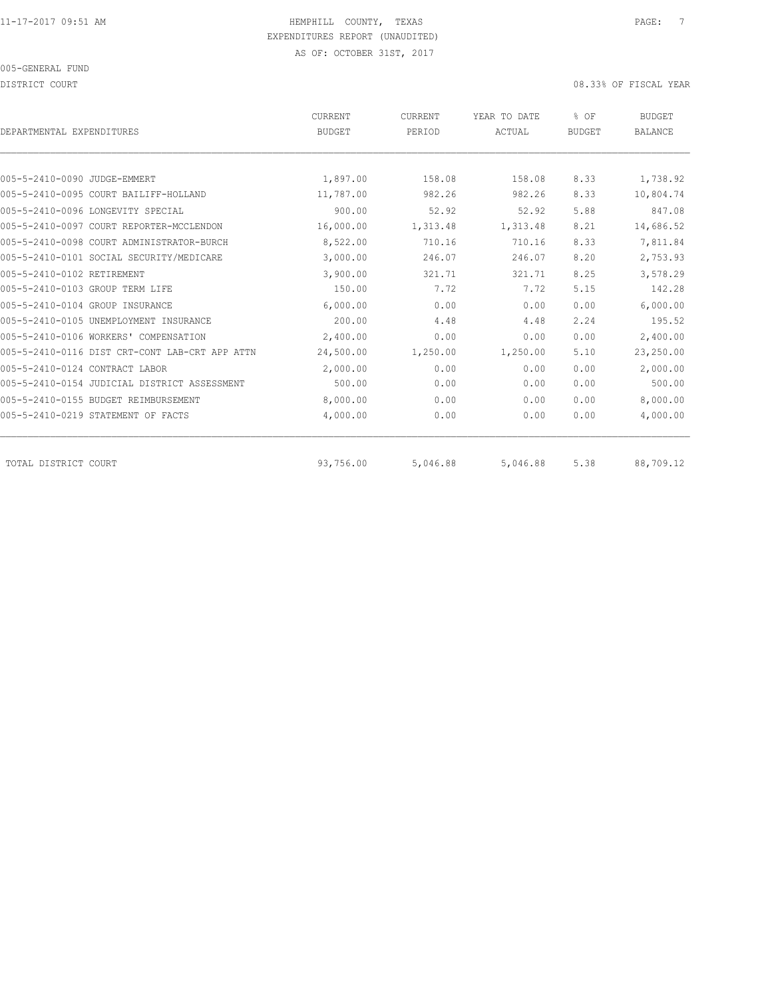DISTRICT COURT COURT COURT COURT COURT COURT COURT COURT COURT COURT COURT OF TISCAL YEAR

| DEPARTMENTAL EXPENDITURES                      | <b>CURRENT</b><br><b>BUDGET</b> | CURRENT<br>PERIOD | YEAR TO DATE<br>ACTUAL | % OF<br><b>BUDGET</b> | <b>BUDGET</b><br><b>BALANCE</b> |
|------------------------------------------------|---------------------------------|-------------------|------------------------|-----------------------|---------------------------------|
|                                                |                                 |                   |                        |                       |                                 |
| 005-5-2410-0090 JUDGE-EMMERT                   | 1,897.00                        | 158.08            | 158.08                 | 8.33                  | 1,738.92                        |
| 005-5-2410-0095 COURT BAILIFF-HOLLAND          | 11,787.00                       | 982.26            | 982.26                 | 8.33                  | 10,804.74                       |
| 005-5-2410-0096 LONGEVITY SPECIAL              | 900.00                          | 52.92             | 52.92                  | 5.88                  | 847.08                          |
| 005-5-2410-0097 COURT REPORTER-MCCLENDON       | 16,000.00                       | 1,313.48          | 1,313.48               | 8.21                  | 14,686.52                       |
| 005-5-2410-0098 COURT ADMINISTRATOR-BURCH      | 8,522.00                        | 710.16            | 710.16                 | 8.33                  | 7,811.84                        |
| 005-5-2410-0101 SOCIAL SECURITY/MEDICARE       | 3,000.00                        | 246.07            | 246.07                 | 8.20                  | 2,753.93                        |
| 005-5-2410-0102 RETIREMENT                     | 3,900.00                        | 321.71            | 321.71                 | 8.25                  | 3,578.29                        |
| 005-5-2410-0103 GROUP TERM LIFE                | 150.00                          | 7.72              | 7.72                   | 5.15                  | 142.28                          |
| 005-5-2410-0104 GROUP INSURANCE                | 6,000.00                        | 0.00              | 0.00                   | 0.00                  | 6,000.00                        |
| 005-5-2410-0105 UNEMPLOYMENT INSURANCE         | 200.00                          | 4.48              | 4.48                   | 2.24                  | 195.52                          |
| 005-5-2410-0106 WORKERS' COMPENSATION          | 2,400.00                        | 0.00              | 0.00                   | 0.00                  | 2,400.00                        |
| 005-5-2410-0116 DIST CRT-CONT LAB-CRT APP ATTN | 24,500.00                       | 1,250.00          | 1,250.00               | 5.10                  | 23,250.00                       |
| 005-5-2410-0124 CONTRACT LABOR                 | 2,000.00                        | 0.00              | 0.00                   | 0.00                  | 2,000.00                        |
| 005-5-2410-0154 JUDICIAL DISTRICT ASSESSMENT   | 500.00                          | 0.00              | 0.00                   | 0.00                  | 500.00                          |
| 005-5-2410-0155 BUDGET REIMBURSEMENT           | 8,000.00                        | 0.00              | 0.00                   | 0.00                  | 8,000.00                        |
| 005-5-2410-0219 STATEMENT OF FACTS             | 4,000.00                        | 0.00              | 0.00                   | 0.00                  | 4,000.00                        |
| TOTAL DISTRICT COURT                           | 93,756.00                       | 5,046.88          | 5,046.88               | 5.38                  | 88,709.12                       |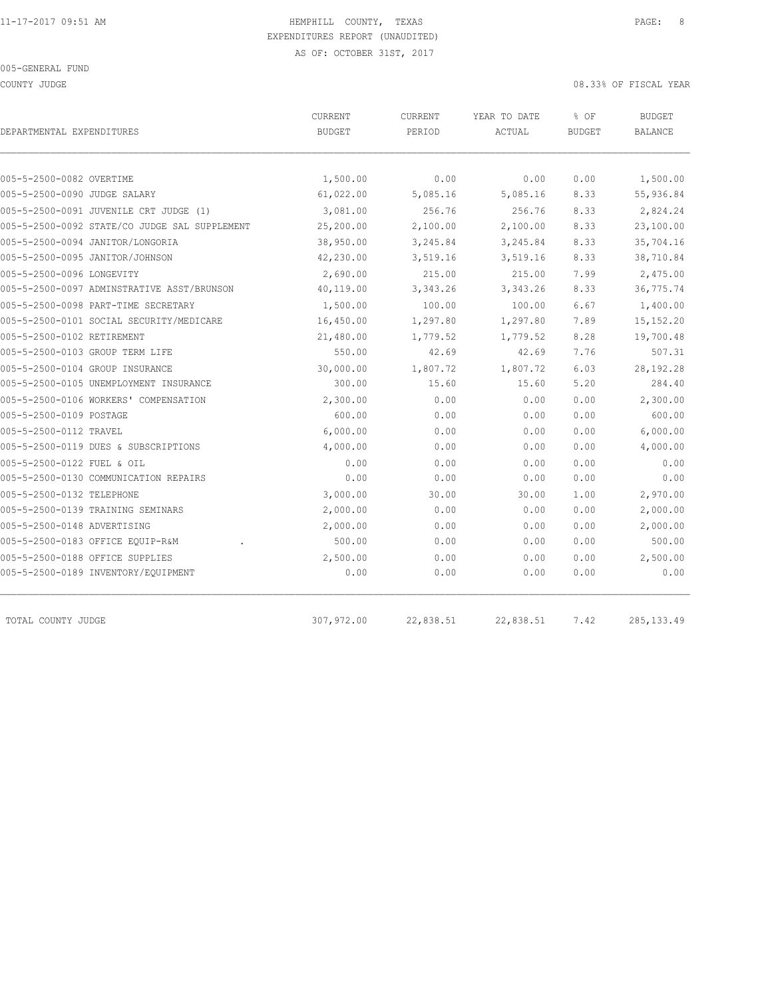COUNTY JUDGE 08.33% OF FISCAL YEAR

| DEPARTMENTAL EXPENDITURES                     | <b>CURRENT</b><br><b>BUDGET</b> | CURRENT<br>PERIOD | YEAR TO DATE<br>ACTUAL | % OF<br><b>BUDGET</b> | <b>BUDGET</b><br><b>BALANCE</b> |  |
|-----------------------------------------------|---------------------------------|-------------------|------------------------|-----------------------|---------------------------------|--|
|                                               |                                 |                   |                        |                       |                                 |  |
| 005-5-2500-0082 OVERTIME                      | 1,500.00                        | 0.00              | 0.00                   | 0.00                  | 1,500.00                        |  |
| 005-5-2500-0090 JUDGE SALARY                  | 61,022.00                       | 5,085.16          | 5,085.16               | 8.33                  | 55,936.84                       |  |
| 005-5-2500-0091 JUVENILE CRT JUDGE (1)        | 3,081.00                        | 256.76            | 256.76                 | 8.33                  | 2,824.24                        |  |
| 005-5-2500-0092 STATE/CO JUDGE SAL SUPPLEMENT | 25,200.00                       | 2,100.00          | 2,100.00               | 8.33                  | 23,100.00                       |  |
| 005-5-2500-0094 JANITOR/LONGORIA              | 38,950.00                       | 3,245.84          | 3,245.84               | 8.33                  | 35,704.16                       |  |
| 005-5-2500-0095 JANITOR/JOHNSON               | 42,230.00                       | 3,519.16          | 3,519.16               | 8.33                  | 38,710.84                       |  |
| 005-5-2500-0096 LONGEVITY                     | 2,690.00                        | 215.00            | 215.00                 | 7.99                  | 2,475.00                        |  |
| 005-5-2500-0097 ADMINSTRATIVE ASST/BRUNSON    | 40,119.00                       | 3,343.26          | 3,343.26               | 8.33                  | 36,775.74                       |  |
| 005-5-2500-0098 PART-TIME SECRETARY           | 1,500.00                        | 100.00            | 100.00                 | 6.67                  | 1,400.00                        |  |
| 005-5-2500-0101 SOCIAL SECURITY/MEDICARE      | 16,450.00                       | 1,297.80          | 1,297.80               | 7.89                  | 15, 152.20                      |  |
| 005-5-2500-0102 RETIREMENT                    | 21,480.00                       | 1,779.52          | 1,779.52               | 8.28                  | 19,700.48                       |  |
| 005-5-2500-0103 GROUP TERM LIFE               | 550.00                          | 42.69             | 42.69                  | 7.76                  | 507.31                          |  |
| 005-5-2500-0104 GROUP INSURANCE               | 30,000.00                       | 1,807.72          | 1,807.72               | 6.03                  | 28,192.28                       |  |
| 005-5-2500-0105 UNEMPLOYMENT INSURANCE        | 300.00                          | 15.60             | 15.60                  | 5.20                  | 284.40                          |  |
| 005-5-2500-0106 WORKERS' COMPENSATION         | 2,300.00                        | 0.00              | 0.00                   | 0.00                  | 2,300.00                        |  |
| 005-5-2500-0109 POSTAGE                       | 600.00                          | 0.00              | 0.00                   | 0.00                  | 600.00                          |  |
| 005-5-2500-0112 TRAVEL                        | 6,000.00                        | 0.00              | 0.00                   | 0.00                  | 6,000.00                        |  |
| 005-5-2500-0119 DUES & SUBSCRIPTIONS          | 4,000.00                        | 0.00              | 0.00                   | 0.00                  | 4,000.00                        |  |
| 005-5-2500-0122 FUEL & OIL                    | 0.00                            | 0.00              | 0.00                   | 0.00                  | 0.00                            |  |
| 005-5-2500-0130 COMMUNICATION REPAIRS         | 0.00                            | 0.00              | 0.00                   | 0.00                  | 0.00                            |  |
| 005-5-2500-0132 TELEPHONE                     | 3,000.00                        | 30.00             | 30.00                  | 1.00                  | 2,970.00                        |  |
| 005-5-2500-0139 TRAINING SEMINARS             | 2,000.00                        | 0.00              | 0.00                   | 0.00                  | 2,000.00                        |  |
| 005-5-2500-0148 ADVERTISING                   | 2,000.00                        | 0.00              | 0.00                   | 0.00                  | 2,000.00                        |  |
| 005-5-2500-0183 OFFICE EQUIP-R&M              | 500.00                          | 0.00              | 0.00                   | 0.00                  | 500.00                          |  |
| 005-5-2500-0188 OFFICE SUPPLIES               | 2,500.00                        | 0.00              | 0.00                   | 0.00                  | 2,500.00                        |  |
| 005-5-2500-0189 INVENTORY/EQUIPMENT           | 0.00                            | 0.00              | 0.00                   | 0.00                  | 0.00                            |  |
| TOTAL COUNTY JUDGE                            | 307,972.00                      | 22,838.51         | 22,838.51              | 7.42                  | 285, 133.49                     |  |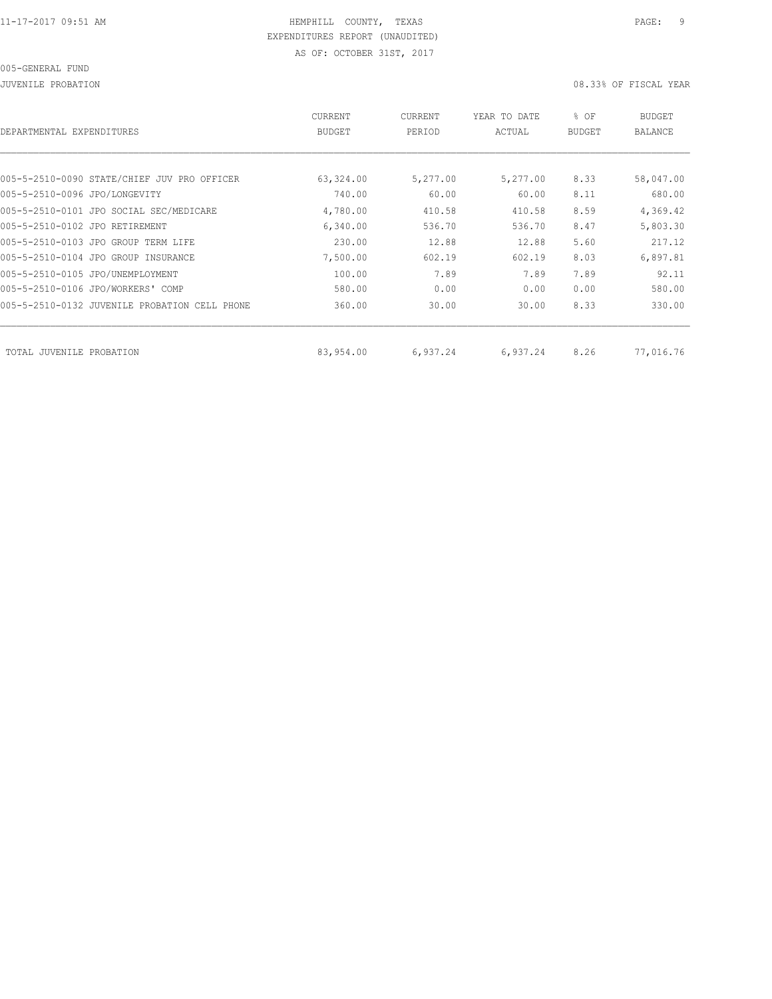JUVENILE PROBATION 08.33% OF FISCAL YEAR

| DEPARTMENTAL EXPENDITURES      |                                               | CURRENT<br><b>BUDGET</b> | CURRENT<br>PERIOD | YEAR TO DATE<br>ACTUAL | % OF<br><b>BUDGET</b> | <b>BUDGET</b><br>BALANCE |
|--------------------------------|-----------------------------------------------|--------------------------|-------------------|------------------------|-----------------------|--------------------------|
|                                |                                               |                          |                   |                        |                       |                          |
|                                | 005-5-2510-0090 STATE/CHIEF JUV PRO OFFICER   | 63,324.00                | 5,277.00          | 5,277.00               | 8.33                  | 58,047.00                |
| 005-5-2510-0096 JPO/LONGEVITY  |                                               | 740.00                   | 60.00             | 60.00                  | 8.11                  | 680.00                   |
|                                | 005-5-2510-0101 JPO SOCIAL SEC/MEDICARE       | 4,780.00                 | 410.58            | 410.58                 | 8.59                  | 4,369.42                 |
| 005-5-2510-0102 JPO RETIREMENT |                                               | 6,340.00                 | 536.70            | 536.70                 | 8.47                  | 5,803.30                 |
|                                | 005-5-2510-0103 JPO GROUP TERM LIFE           | 230.00                   | 12.88             | 12.88                  | 5.60                  | 217.12                   |
|                                | 005-5-2510-0104 JPO GROUP INSURANCE           | 7,500.00                 | 602.19            | 602.19                 | 8.03                  | 6,897.81                 |
|                                | 005-5-2510-0105 JPO/UNEMPLOYMENT              | 100.00                   | 7.89              | 7.89                   | 7.89                  | 92.11                    |
|                                | 005-5-2510-0106 JPO/WORKERS' COMP             | 580.00                   | 0.00              | 0.00                   | 0.00                  | 580.00                   |
|                                | 005-5-2510-0132 JUVENILE PROBATION CELL PHONE | 360.00                   | 30.00             | 30.00                  | 8.33                  | 330.00                   |
|                                |                                               |                          |                   |                        |                       |                          |
| TOTAL JUVENILE PROBATION       |                                               | 83,954.00                | 6,937.24          | 6,937.24               | 8.26                  | 77,016.76                |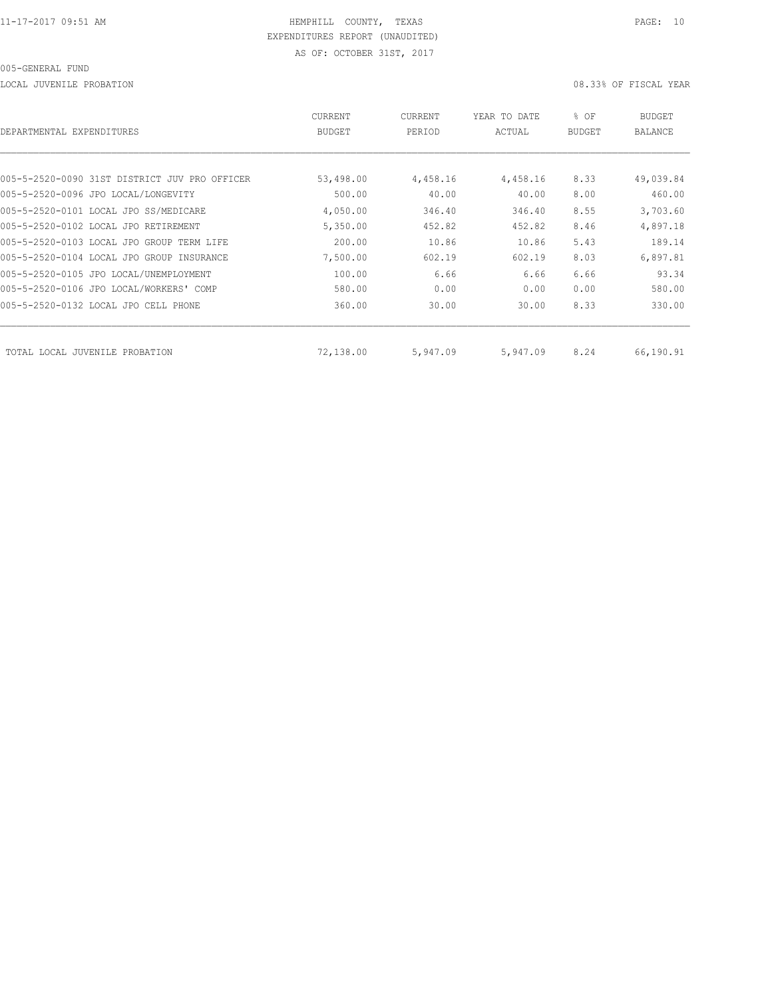LOCAL JUVENILE PROBATION 08.33% OF FISCAL YEAR

| DEPARTMENTAL EXPENDITURES                     | CURRENT<br><b>BUDGET</b> | CURRENT<br>PERIOD | YEAR TO DATE<br>ACTUAL | % OF<br><b>BUDGET</b> | BUDGET<br><b>BALANCE</b> |
|-----------------------------------------------|--------------------------|-------------------|------------------------|-----------------------|--------------------------|
|                                               |                          |                   |                        |                       |                          |
| 005-5-2520-0090 31ST DISTRICT JUV PRO OFFICER | 53,498.00                | 4,458.16          | 4,458.16               | 8.33                  | 49,039.84                |
| 005-5-2520-0096 JPO LOCAL/LONGEVITY           | 500.00                   | 40.00             | 40.00                  | 8.00                  | 460.00                   |
| 005-5-2520-0101 LOCAL JPO SS/MEDICARE         | 4,050.00                 | 346.40            | 346.40                 | 8.55                  | 3,703.60                 |
| 005-5-2520-0102 LOCAL JPO RETIREMENT          | 5,350.00                 | 452.82            | 452.82                 | 8.46                  | 4,897.18                 |
| 005-5-2520-0103 LOCAL JPO GROUP TERM LIFE     | 200.00                   | 10.86             | 10.86                  | 5.43                  | 189.14                   |
| 005-5-2520-0104 LOCAL JPO GROUP INSURANCE     | 7,500.00                 | 602.19            | 602.19                 | 8.03                  | 6,897.81                 |
| 005-5-2520-0105 JPO LOCAL/UNEMPLOYMENT        | 100.00                   | 6.66              | 6.66                   | 6.66                  | 93.34                    |
| 005-5-2520-0106 JPO LOCAL/WORKERS' COMP       | 580.00                   | 0.00              | 0.00                   | 0.00                  | 580.00                   |
| 005-5-2520-0132 LOCAL JPO CELL PHONE          | 360.00                   | 30.00             | 30.00                  | 8.33                  | 330.00                   |
| TOTAL LOCAL JUVENILE PROBATION                | 72,138.00                | 5,947.09          | 5,947.09               | 8.24                  | 66,190.91                |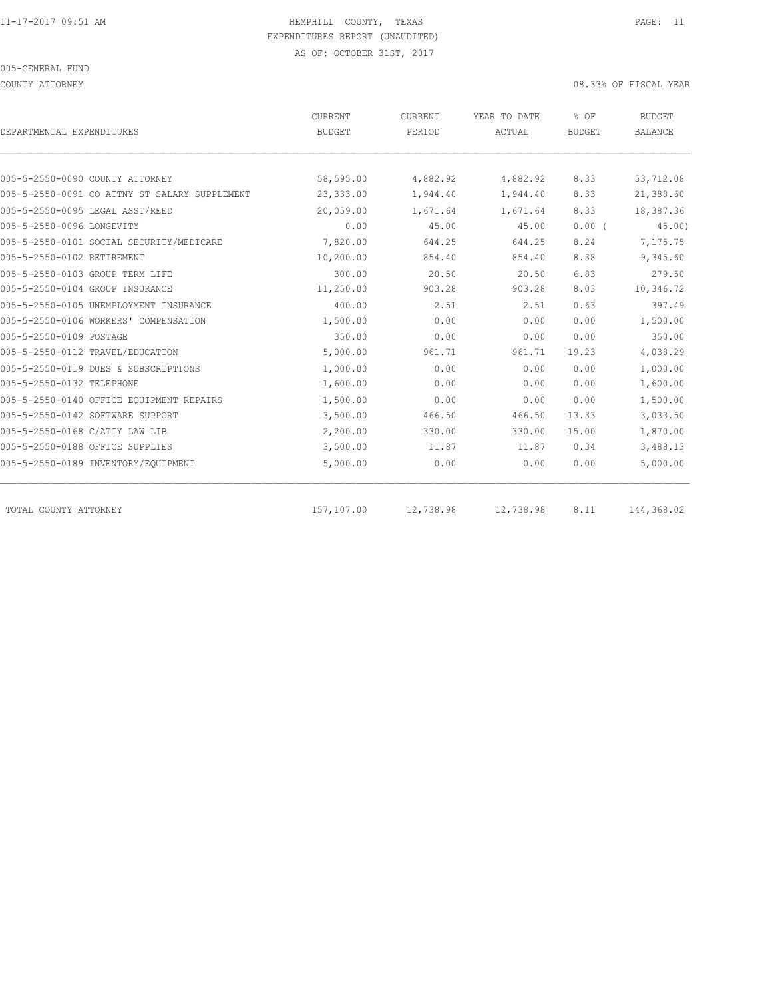COUNTY ATTORNEY 08.33% OF FISCAL YEAR

| DEPARTMENTAL EXPENDITURES                     | CURRENT<br><b>BUDGET</b> | CURRENT<br>PERIOD | YEAR TO DATE<br>ACTUAL | % OF<br><b>BUDGET</b> | <b>BUDGET</b><br><b>BALANCE</b> |
|-----------------------------------------------|--------------------------|-------------------|------------------------|-----------------------|---------------------------------|
|                                               |                          |                   |                        |                       |                                 |
| 005-5-2550-0090 COUNTY ATTORNEY               | 58,595.00                | 4,882.92          | 4,882.92               | 8.33                  | 53,712.08                       |
| 005-5-2550-0091 CO ATTNY ST SALARY SUPPLEMENT | 23,333.00                | 1,944.40          | 1,944.40               | 8.33                  | 21,388.60                       |
| 005-5-2550-0095 LEGAL ASST/REED               | 20,059.00                | 1,671.64          | 1,671.64               | 8.33                  | 18,387.36                       |
| 005-5-2550-0096 LONGEVITY                     | 0.00                     | 45.00             | 45.00                  | $0.00$ (              | 45.00                           |
| 005-5-2550-0101 SOCIAL SECURITY/MEDICARE      | 7,820.00                 | 644.25            | 644.25                 | 8.24                  | 7,175.75                        |
| 005-5-2550-0102 RETIREMENT                    | 10,200.00                | 854.40            | 854.40                 | 8.38                  | 9,345.60                        |
| 005-5-2550-0103 GROUP TERM LIFE               | 300.00                   | 20.50             | 20.50                  | 6.83                  | 279.50                          |
| 005-5-2550-0104 GROUP INSURANCE               | 11,250.00                | 903.28            | 903.28                 | 8.03                  | 10,346.72                       |
| 005-5-2550-0105 UNEMPLOYMENT INSURANCE        | 400.00                   | 2.51              | 2.51                   | 0.63                  | 397.49                          |
| 005-5-2550-0106 WORKERS' COMPENSATION         | 1,500.00                 | 0.00              | 0.00                   | 0.00                  | 1,500.00                        |
| 005-5-2550-0109 POSTAGE                       | 350.00                   | 0.00              | 0.00                   | 0.00                  | 350.00                          |
| 005-5-2550-0112 TRAVEL/EDUCATION              | 5,000.00                 | 961.71            | 961.71                 | 19.23                 | 4,038.29                        |
| 005-5-2550-0119 DUES & SUBSCRIPTIONS          | 1,000.00                 | 0.00              | 0.00                   | 0.00                  | 1,000.00                        |
| 005-5-2550-0132 TELEPHONE                     | 1,600.00                 | 0.00              | 0.00                   | 0.00                  | 1,600.00                        |
| 005-5-2550-0140 OFFICE EOUIPMENT REPAIRS      | 1,500.00                 | 0.00              | 0.00                   | 0.00                  | 1,500.00                        |
| 005-5-2550-0142 SOFTWARE SUPPORT              | 3,500.00                 | 466.50            | 466.50                 | 13.33                 | 3,033.50                        |
| 005-5-2550-0168 C/ATTY LAW LIB                | 2,200.00                 | 330.00            | 330.00                 | 15.00                 | 1,870.00                        |
| 005-5-2550-0188 OFFICE SUPPLIES               | 3,500.00                 | 11.87             | 11.87                  | 0.34                  | 3,488.13                        |
| 005-5-2550-0189 INVENTORY/EQUIPMENT           | 5,000.00                 | 0.00              | 0.00                   | 0.00                  | 5,000.00                        |
| TOTAL COUNTY ATTORNEY                         | 157,107.00               | 12,738.98         | 12,738.98              | 8.11                  | 144,368.02                      |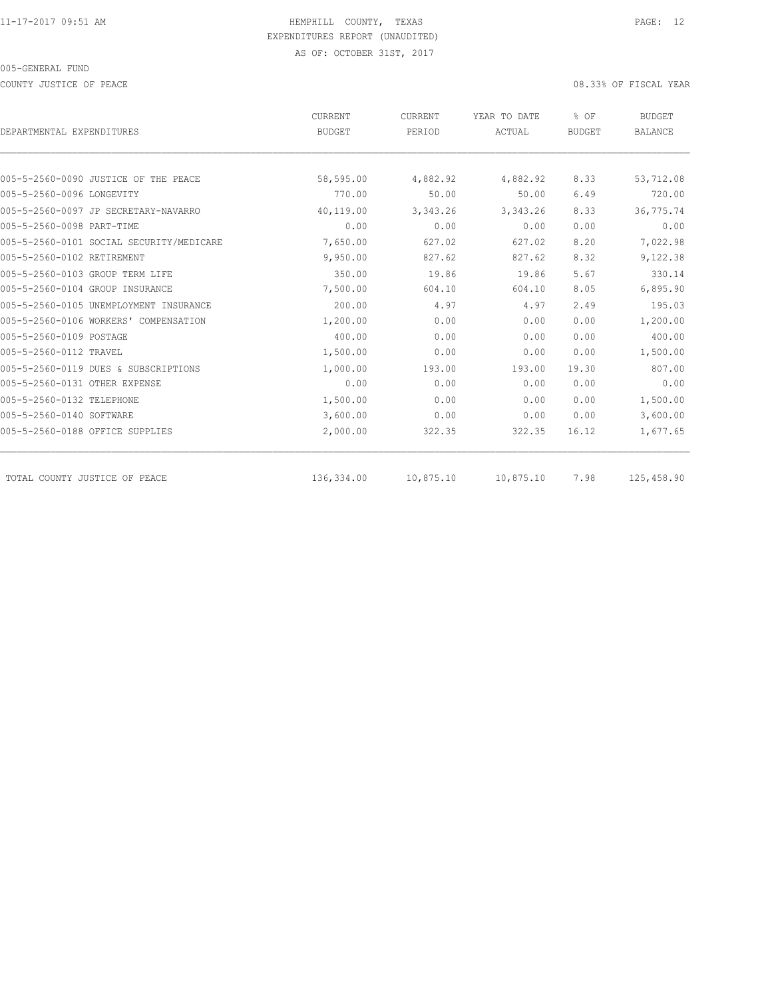COUNTY JUSTICE OF PEACE 08.33% OF FISCAL YEAR

|                                          | CURRENT       | CURRENT   | YEAR TO DATE | % OF          | <b>BUDGET</b>  |
|------------------------------------------|---------------|-----------|--------------|---------------|----------------|
| DEPARTMENTAL EXPENDITURES                | <b>BUDGET</b> | PERIOD    | ACTUAL       | <b>BUDGET</b> | <b>BALANCE</b> |
|                                          |               |           |              |               |                |
| 005-5-2560-0090 JUSTICE OF THE PEACE     | 58,595.00     | 4,882.92  | 4,882.92     | 8.33          | 53,712.08      |
| 005-5-2560-0096 LONGEVITY                | 770.00        | 50.00     | 50.00        | 6.49          | 720.00         |
| 005-5-2560-0097 JP SECRETARY-NAVARRO     | 40,119.00     | 3,343.26  | 3,343.26     | 8.33          | 36,775.74      |
| 005-5-2560-0098 PART-TIME                | 0.00          | 0.00      | 0.00         | 0.00          | 0.00           |
| 005-5-2560-0101 SOCIAL SECURITY/MEDICARE | 7,650.00      | 627.02    | 627.02       | 8.20          | 7,022.98       |
| 005-5-2560-0102 RETIREMENT               | 9,950.00      | 827.62    | 827.62       | 8.32          | 9,122.38       |
| 005-5-2560-0103 GROUP TERM LIFE          | 350.00        | 19.86     | 19.86        | 5.67          | 330.14         |
| 005-5-2560-0104 GROUP INSURANCE          | 7,500.00      | 604.10    | 604.10       | 8.05          | 6,895.90       |
| 005-5-2560-0105 UNEMPLOYMENT INSURANCE   | 200.00        | 4.97      | 4.97         | 2.49          | 195.03         |
| 005-5-2560-0106 WORKERS' COMPENSATION    | 1,200.00      | 0.00      | 0.00         | 0.00          | 1,200.00       |
| 005-5-2560-0109 POSTAGE                  | 400.00        | 0.00      | 0.00         | 0.00          | 400.00         |
| 005-5-2560-0112 TRAVEL                   | 1,500.00      | 0.00      | 0.00         | 0.00          | 1,500.00       |
| 005-5-2560-0119 DUES & SUBSCRIPTIONS     | 1,000.00      | 193.00    | 193.00       | 19.30         | 807.00         |
| 005-5-2560-0131 OTHER EXPENSE            | 0.00          | 0.00      | 0.00         | 0.00          | 0.00           |
| 005-5-2560-0132 TELEPHONE                | 1,500.00      | 0.00      | 0.00         | 0.00          | 1,500.00       |
| 005-5-2560-0140 SOFTWARE                 | 3,600.00      | 0.00      | 0.00         | 0.00          | 3,600.00       |
| 005-5-2560-0188 OFFICE SUPPLIES          | 2,000.00      | 322.35    | 322.35       | 16.12         | 1,677.65       |
| TOTAL COUNTY JUSTICE OF PEACE            | 136,334.00    | 10,875.10 | 10,875.10    | 7.98          | 125,458.90     |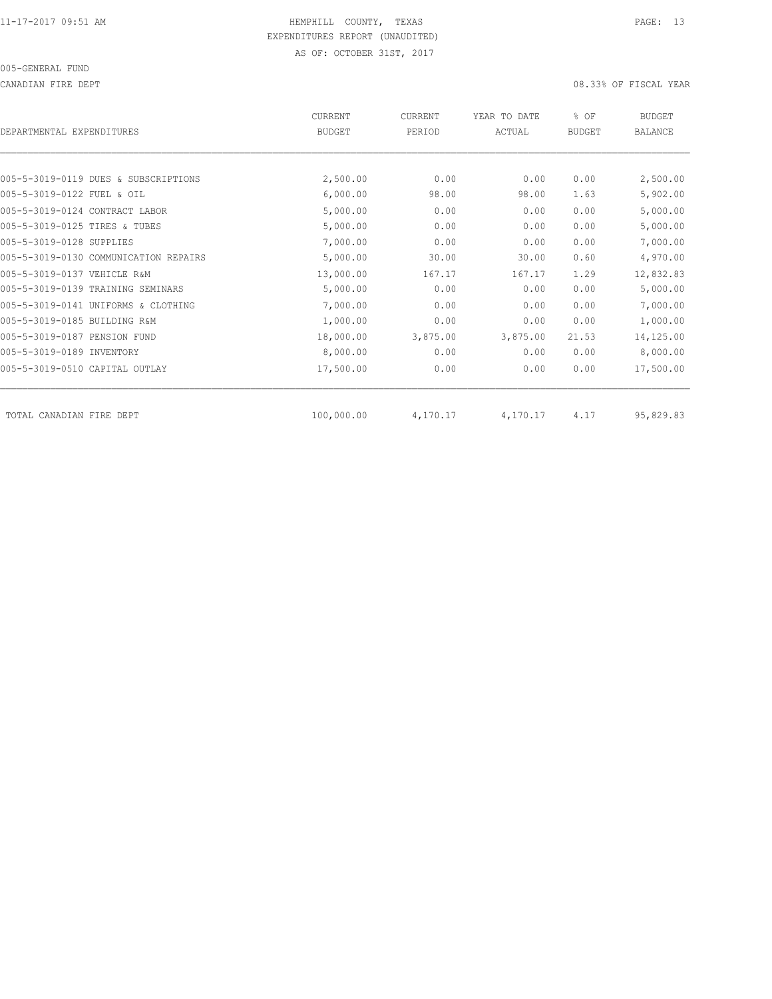CANADIAN FIRE DEPT 08.33% OF FISCAL YEAR

| DEPARTMENTAL EXPENDITURES      |                                       | <b>CURRENT</b><br><b>BUDGET</b> | <b>CURRENT</b><br>PERIOD | YEAR TO DATE<br>ACTUAL | % OF<br><b>BUDGET</b> | <b>BUDGET</b><br><b>BALANCE</b> |
|--------------------------------|---------------------------------------|---------------------------------|--------------------------|------------------------|-----------------------|---------------------------------|
|                                |                                       |                                 |                          |                        |                       |                                 |
|                                | 005-5-3019-0119 DUES & SUBSCRIPTIONS  | 2,500.00                        | 0.00                     | 0.00                   | 0.00                  | 2,500.00                        |
| 005-5-3019-0122 FUEL & OIL     |                                       | 6,000.00                        | 98.00                    | 98.00                  | 1.63                  | 5,902.00                        |
| 005-5-3019-0124 CONTRACT LABOR |                                       | 5,000.00                        | 0.00                     | 0.00                   | 0.00                  | 5,000.00                        |
| 005-5-3019-0125 TIRES & TUBES  |                                       | 5,000.00                        | 0.00                     | 0.00                   | 0.00                  | 5,000.00                        |
| 005-5-3019-0128 SUPPLIES       |                                       | 7,000.00                        | 0.00                     | 0.00                   | 0.00                  | 7,000.00                        |
|                                | 005-5-3019-0130 COMMUNICATION REPAIRS | 5,000.00                        | 30.00                    | 30.00                  | 0.60                  | 4,970.00                        |
| 005-5-3019-0137 VEHICLE R&M    |                                       | 13,000.00                       | 167.17                   | 167.17                 | 1.29                  | 12,832.83                       |
|                                | 005-5-3019-0139 TRAINING SEMINARS     | 5,000.00                        | 0.00                     | 0.00                   | 0.00                  | 5,000.00                        |
|                                | 005-5-3019-0141 UNIFORMS & CLOTHING   | 7,000.00                        | 0.00                     | 0.00                   | 0.00                  | 7,000.00                        |
| 005-5-3019-0185 BUILDING R&M   |                                       | 1,000.00                        | 0.00                     | 0.00                   | 0.00                  | 1,000.00                        |
| 005-5-3019-0187 PENSION FUND   |                                       | 18,000.00                       | 3,875.00                 | 3,875.00               | 21.53                 | 14,125.00                       |
| 005-5-3019-0189 INVENTORY      |                                       | 8,000.00                        | 0.00                     | 0.00                   | 0.00                  | 8,000.00                        |
| 005-5-3019-0510 CAPITAL OUTLAY |                                       | 17,500.00                       | 0.00                     | 0.00                   | 0.00                  | 17,500.00                       |
| TOTAL CANADIAN FIRE DEPT       |                                       | 100,000.00                      | 4,170.17                 | 4,170.17               | 4.17                  | 95,829.83                       |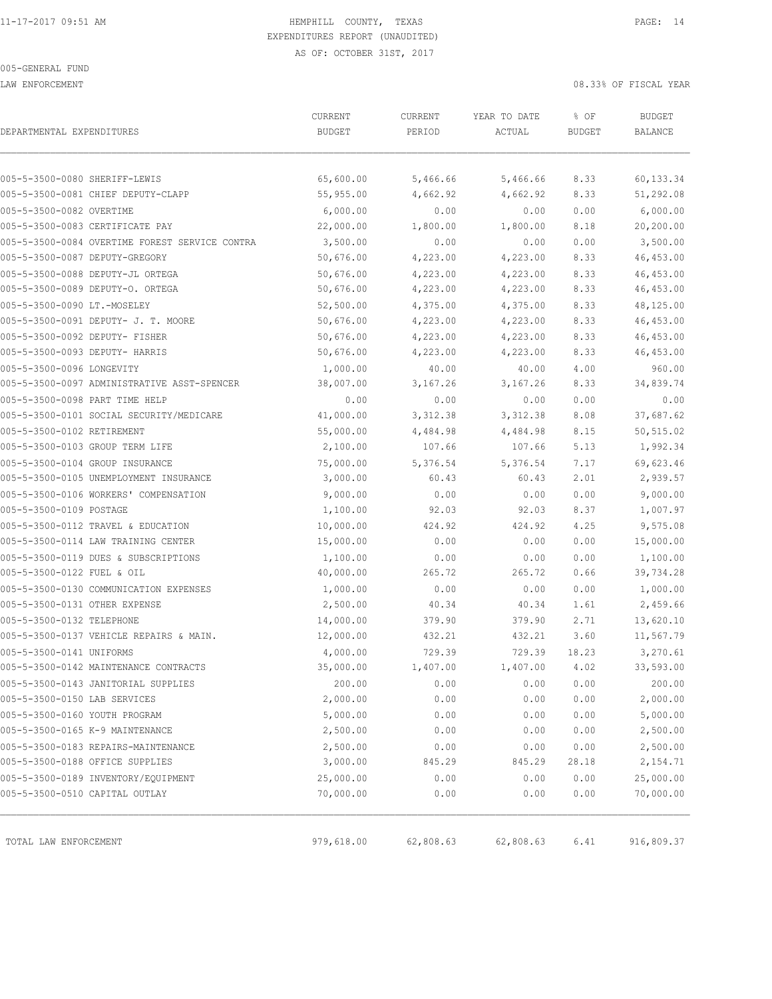LAW ENFORCEMENT 08.33% OF FISCAL YEAR

| DEPARTMENTAL EXPENDITURES                      | CURRENT<br><b>BUDGET</b> | CURRENT<br>PERIOD | YEAR TO DATE<br>ACTUAL | % OF<br><b>BUDGET</b> | <b>BUDGET</b><br>BALANCE |
|------------------------------------------------|--------------------------|-------------------|------------------------|-----------------------|--------------------------|
|                                                |                          |                   |                        |                       |                          |
| 005-5-3500-0080 SHERIFF-LEWIS                  | 65,600.00                | 5,466.66          | 5,466.66               | 8.33                  | 60,133.34                |
| 005-5-3500-0081 CHIEF DEPUTY-CLAPP             | 55,955.00                | 4,662.92          | 4,662.92               | 8.33                  | 51,292.08                |
| 005-5-3500-0082 OVERTIME                       | 6,000.00                 | 0.00              | 0.00                   | 0.00                  | 6,000.00                 |
| 005-5-3500-0083 CERTIFICATE PAY                | 22,000.00                | 1,800.00          | 1,800.00               | 8.18                  | 20,200.00                |
| 005-5-3500-0084 OVERTIME FOREST SERVICE CONTRA | 3,500.00                 | 0.00              | 0.00                   | 0.00                  | 3,500.00                 |
| 005-5-3500-0087 DEPUTY-GREGORY                 | 50,676.00                | 4,223.00          | 4,223.00               | 8.33                  | 46, 453.00               |
| 005-5-3500-0088 DEPUTY-JL ORTEGA               | 50,676.00                | 4,223.00          | 4,223.00               | 8.33                  | 46, 453.00               |
| 005-5-3500-0089 DEPUTY-O. ORTEGA               | 50,676.00                | 4,223.00          | 4,223.00               | 8.33                  | 46, 453.00               |
| 005-5-3500-0090 LT.-MOSELEY                    | 52,500.00                | 4,375.00          | 4,375.00               | 8.33                  | 48,125.00                |
| 005-5-3500-0091 DEPUTY- J. T. MOORE            | 50,676.00                | 4,223.00          | 4,223.00               | 8.33                  | 46,453.00                |
| 005-5-3500-0092 DEPUTY- FISHER                 | 50,676.00                | 4,223.00          | 4,223.00               | 8.33                  | 46, 453.00               |
| 005-5-3500-0093 DEPUTY- HARRIS                 | 50,676.00                | 4,223.00          | 4,223.00               | 8.33                  | 46,453.00                |
| 005-5-3500-0096 LONGEVITY                      | 1,000.00                 | 40.00             | 40.00                  | 4.00                  | 960.00                   |
| 005-5-3500-0097 ADMINISTRATIVE ASST-SPENCER    | 38,007.00                | 3,167.26          | 3,167.26               | 8.33                  | 34,839.74                |
| 005-5-3500-0098 PART TIME HELP                 | 0.00                     | 0.00              | 0.00                   | 0.00                  | 0.00                     |
| 005-5-3500-0101 SOCIAL SECURITY/MEDICARE       | 41,000.00                | 3,312.38          | 3, 312.38              | 8.08                  | 37,687.62                |
| 005-5-3500-0102 RETIREMENT                     | 55,000.00                | 4,484.98          | 4,484.98               | 8.15                  | 50,515.02                |
| 005-5-3500-0103 GROUP TERM LIFE                | 2,100.00                 | 107.66            | 107.66                 | 5.13                  | 1,992.34                 |
| 005-5-3500-0104 GROUP INSURANCE                | 75,000.00                | 5,376.54          | 5,376.54               | 7.17                  | 69,623.46                |
| 005-5-3500-0105 UNEMPLOYMENT INSURANCE         | 3,000.00                 | 60.43             | 60.43                  | 2.01                  | 2,939.57                 |
| 005-5-3500-0106 WORKERS' COMPENSATION          | 9,000.00                 | 0.00              | 0.00                   | 0.00                  | 9,000.00                 |
| 005-5-3500-0109 POSTAGE                        | 1,100.00                 | 92.03             | 92.03                  | 8.37                  | 1,007.97                 |
| 005-5-3500-0112 TRAVEL & EDUCATION             | 10,000.00                | 424.92            | 424.92                 | 4.25                  | 9,575.08                 |
| 005-5-3500-0114 LAW TRAINING CENTER            | 15,000.00                | 0.00              | 0.00                   | 0.00                  | 15,000.00                |
| 005-5-3500-0119 DUES & SUBSCRIPTIONS           | 1,100.00                 | 0.00              | 0.00                   | 0.00                  | 1,100.00                 |
| 005-5-3500-0122 FUEL & OIL                     | 40,000.00                | 265.72            | 265.72                 | 0.66                  | 39,734.28                |
| 005-5-3500-0130 COMMUNICATION EXPENSES         | 1,000.00                 | 0.00              | 0.00                   | 0.00                  | 1,000.00                 |
| 005-5-3500-0131 OTHER EXPENSE                  | 2,500.00                 | 40.34             | 40.34                  | 1.61                  | 2,459.66                 |
| 005-5-3500-0132 TELEPHONE                      | 14,000.00                | 379.90            | 379.90                 | 2.71                  | 13,620.10                |
| 005-5-3500-0137 VEHICLE REPAIRS & MAIN.        | 12,000.00                | 432.21            | 432.21                 | 3.60                  | 11,567.79                |
| 005-5-3500-0141 UNIFORMS                       | 4,000.00                 | 729.39            | 729.39                 | 18.23                 | 3,270.61                 |
| 005-5-3500-0142 MAINTENANCE CONTRACTS          | 35,000.00                | 1,407.00          | 1,407.00               | 4.02                  | 33,593.00                |
| 005-5-3500-0143 JANITORIAL SUPPLIES            | 200.00                   | 0.00              | 0.00                   | 0.00                  | 200.00                   |
| 005-5-3500-0150 LAB SERVICES                   | 2,000.00                 | 0.00              | 0.00                   | 0.00                  | 2,000.00                 |
| 005-5-3500-0160 YOUTH PROGRAM                  | 5,000.00                 | 0.00              | 0.00                   | 0.00                  | 5,000.00                 |
| 005-5-3500-0165 K-9 MAINTENANCE                | 2,500.00                 | 0.00              | 0.00                   | 0.00                  | 2,500.00                 |
| 005-5-3500-0183 REPAIRS-MAINTENANCE            | 2,500.00                 | 0.00              | 0.00                   | 0.00                  | 2,500.00                 |
| 005-5-3500-0188 OFFICE SUPPLIES                | 3,000.00                 | 845.29            | 845.29                 | 28.18                 | 2,154.71                 |
| 005-5-3500-0189 INVENTORY/EQUIPMENT            | 25,000.00                | 0.00              | 0.00                   | 0.00                  | 25,000.00                |
| 005-5-3500-0510 CAPITAL OUTLAY                 | 70,000.00                | 0.00              | 0.00                   | 0.00                  | 70,000.00                |
| TOTAL LAW ENFORCEMENT                          | 979,618.00               | 62,808.63         | 62,808.63              | 6.41                  | 916,809.37               |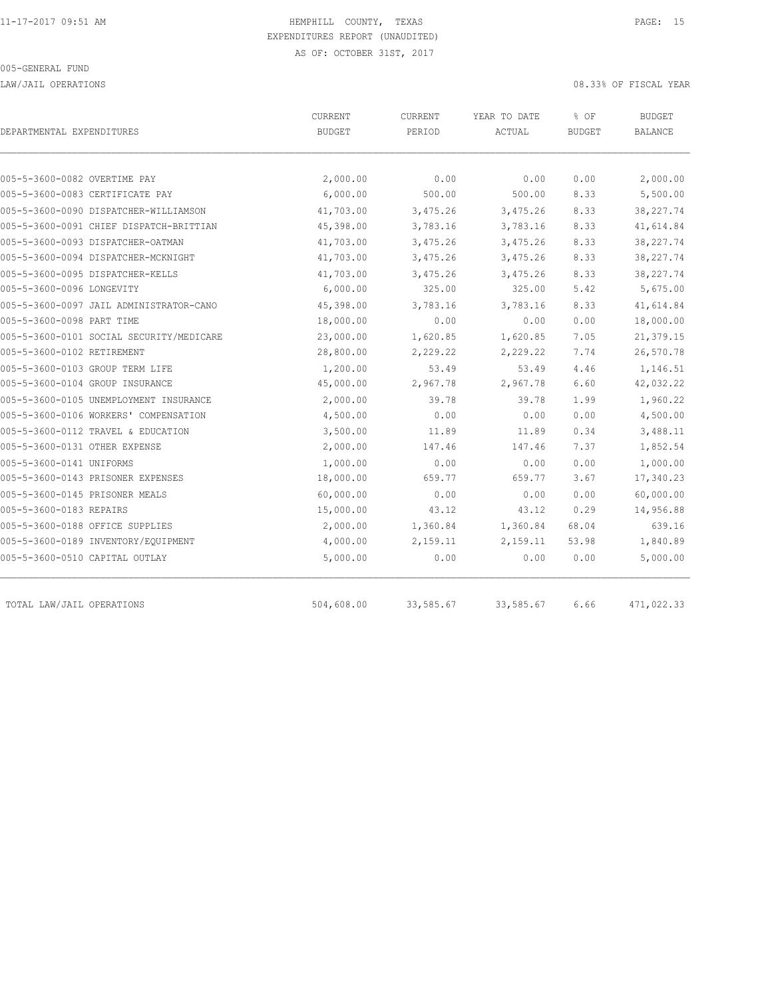LAW/JAIL OPERATIONS 08.33% OF FISCAL YEAR

| DEPARTMENTAL EXPENDITURES                | CURRENT<br><b>BUDGET</b> | <b>CURRENT</b><br>PERIOD | YEAR TO DATE<br>ACTUAL | % OF<br><b>BUDGET</b> | <b>BUDGET</b><br><b>BALANCE</b> |
|------------------------------------------|--------------------------|--------------------------|------------------------|-----------------------|---------------------------------|
|                                          |                          |                          |                        |                       |                                 |
| 005-5-3600-0082 OVERTIME PAY             | 2,000.00                 | 0.00                     | 0.00                   | 0.00                  | 2,000.00                        |
| 005-5-3600-0083 CERTIFICATE PAY          | 6,000.00                 | 500.00                   | 500.00                 | 8.33                  | 5,500.00                        |
| 005-5-3600-0090 DISPATCHER-WILLIAMSON    | 41,703.00                | 3,475.26                 | 3,475.26               | 8.33                  | 38, 227.74                      |
| 005-5-3600-0091 CHIEF DISPATCH-BRITTIAN  | 45,398.00                | 3,783.16                 | 3,783.16               | 8.33                  | 41,614.84                       |
| 005-5-3600-0093 DISPATCHER-OATMAN        | 41,703.00                | 3,475.26                 | 3,475.26               | 8.33                  | 38,227.74                       |
| 005-5-3600-0094 DISPATCHER-MCKNIGHT      | 41,703.00                | 3,475.26                 | 3,475.26               | 8.33                  | 38, 227.74                      |
| 005-5-3600-0095 DISPATCHER-KELLS         | 41,703.00                | 3,475.26                 | 3,475.26               | 8.33                  | 38, 227.74                      |
| 005-5-3600-0096 LONGEVITY                | 6,000.00                 | 325.00                   | 325.00                 | 5.42                  | 5,675.00                        |
| 005-5-3600-0097 JAIL ADMINISTRATOR-CANO  | 45,398.00                | 3,783.16                 | 3,783.16               | 8.33                  | 41,614.84                       |
| 005-5-3600-0098 PART TIME                | 18,000.00                | 0.00                     | 0.00                   | 0.00                  | 18,000.00                       |
| 005-5-3600-0101 SOCIAL SECURITY/MEDICARE | 23,000.00                | 1,620.85                 | 1,620.85               | 7.05                  | 21,379.15                       |
| 005-5-3600-0102 RETIREMENT               | 28,800.00                | 2,229.22                 | 2,229.22               | 7.74                  | 26,570.78                       |
| 005-5-3600-0103 GROUP TERM LIFE          | 1,200.00                 | 53.49                    | 53.49                  | 4.46                  | 1,146.51                        |
| 005-5-3600-0104 GROUP INSURANCE          | 45,000.00                | 2,967.78                 | 2,967.78               | 6.60                  | 42,032.22                       |
| 005-5-3600-0105 UNEMPLOYMENT INSURANCE   | 2,000.00                 | 39.78                    | 39.78                  | 1.99                  | 1,960.22                        |
| 005-5-3600-0106 WORKERS' COMPENSATION    | 4,500.00                 | 0.00                     | 0.00                   | 0.00                  | 4,500.00                        |
| 005-5-3600-0112 TRAVEL & EDUCATION       | 3,500.00                 | 11.89                    | 11.89                  | 0.34                  | 3,488.11                        |
| 005-5-3600-0131 OTHER EXPENSE            | 2,000.00                 | 147.46                   | 147.46                 | 7.37                  | 1,852.54                        |
| 005-5-3600-0141 UNIFORMS                 | 1,000.00                 | 0.00                     | 0.00                   | 0.00                  | 1,000.00                        |
| 005-5-3600-0143 PRISONER EXPENSES        | 18,000.00                | 659.77                   | 659.77                 | 3.67                  | 17,340.23                       |
| 005-5-3600-0145 PRISONER MEALS           | 60,000.00                | 0.00                     | 0.00                   | 0.00                  | 60,000.00                       |
| 005-5-3600-0183 REPAIRS                  | 15,000.00                | 43.12                    | 43.12                  | 0.29                  | 14,956.88                       |
| 005-5-3600-0188 OFFICE SUPPLIES          | 2,000.00                 | 1,360.84                 | 1,360.84               | 68.04                 | 639.16                          |
| 005-5-3600-0189 INVENTORY/EQUIPMENT      | 4,000.00                 | 2,159.11                 | 2,159.11               | 53.98                 | 1,840.89                        |
| 005-5-3600-0510 CAPITAL OUTLAY           | 5,000.00                 | 0.00                     | 0.00                   | 0.00                  | 5,000.00                        |
| TOTAL LAW/JAIL OPERATIONS                | 504,608.00               | 33,585.67                | 33,585.67              | 6.66                  | 471,022.33                      |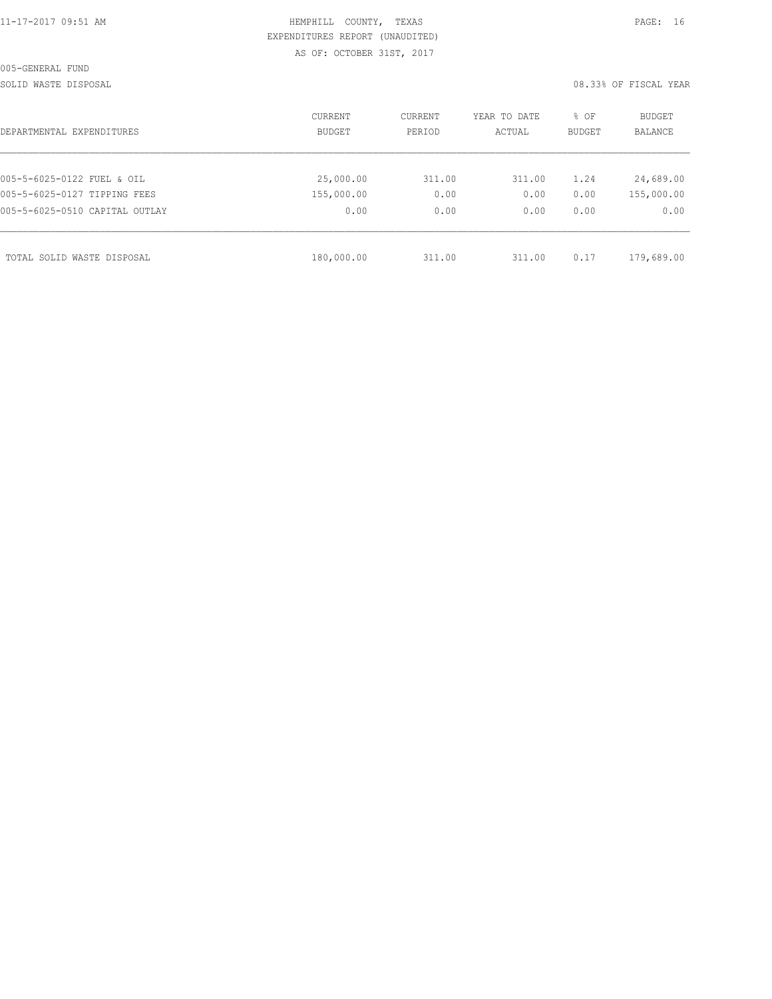|  |  |  |  | 11-17-2017 09:51 AM |
|--|--|--|--|---------------------|
|  |  |  |  |                     |

## HEMPHILL COUNTY, TEXAS **PAGE:** 16 EXPENDITURES REPORT (UNAUDITED) AS OF: OCTOBER 31ST, 2017

SOLID WASTE DISPOSAL **EXECUTE:** 08.33% OF FISCAL YEAR

| CURRENT<br>BUDGET | CURRENT<br>PERIOD | YEAR TO DATE<br>ACTUAL | % OF<br><b>BUDGET</b> | BUDGET<br>BALANCE |
|-------------------|-------------------|------------------------|-----------------------|-------------------|
|                   |                   |                        |                       |                   |
| 25,000.00         | 311.00            | 311.00                 | 1.24                  | 24,689.00         |
| 155,000.00        | 0.00              | 0.00                   | 0.00                  | 155,000.00        |
| 0.00              | 0.00              | 0.00                   | 0.00                  | 0.00              |
|                   |                   |                        |                       | 179,689.00        |
|                   | 180,000.00        |                        | 311.00<br>311.00      | 0.17              |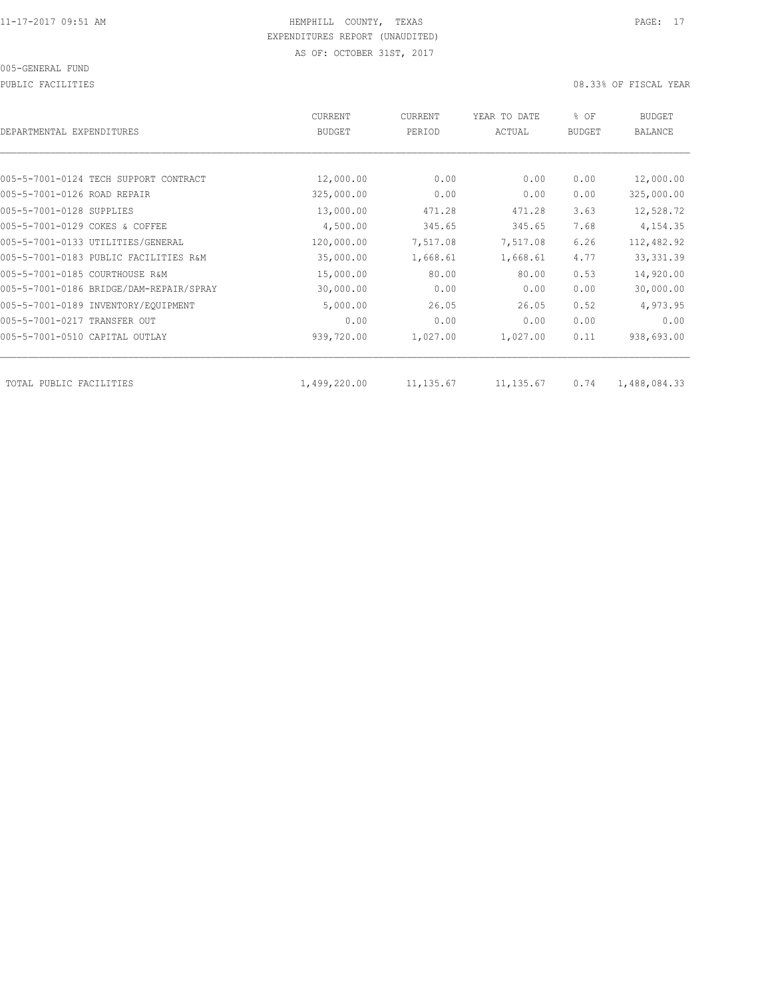PUBLIC FACILITIES 08.33% OF FISCAL YEAR

| DEPARTMENTAL EXPENDITURES               | CURRENT<br><b>BUDGET</b> | CURRENT<br>PERIOD | YEAR TO DATE<br>ACTUAL | % OF<br><b>BUDGET</b> | <b>BUDGET</b><br><b>BALANCE</b> |
|-----------------------------------------|--------------------------|-------------------|------------------------|-----------------------|---------------------------------|
|                                         |                          |                   |                        |                       |                                 |
| 005-5-7001-0124 TECH SUPPORT CONTRACT   | 12,000.00                | 0.00              | 0.00                   | 0.00                  | 12,000.00                       |
| 005-5-7001-0126 ROAD REPAIR             | 325,000.00               | 0.00              | 0.00                   | 0.00                  | 325,000.00                      |
| 005-5-7001-0128 SUPPLIES                | 13,000.00                | 471.28            | 471.28                 | 3.63                  | 12,528.72                       |
| 005-5-7001-0129 COKES & COFFEE          | 4,500.00                 | 345.65            | 345.65                 | 7.68                  | 4,154.35                        |
| 005-5-7001-0133 UTILITIES/GENERAL       | 120,000.00               | 7,517.08          | 7,517.08               | 6.26                  | 112,482.92                      |
| 005-5-7001-0183 PUBLIC FACILITIES R&M   | 35,000.00                | 1,668.61          | 1,668.61               | 4.77                  | 33, 331.39                      |
| 005-5-7001-0185 COURTHOUSE R&M          | 15,000.00                | 80.00             | 80.00                  | 0.53                  | 14,920.00                       |
| 005-5-7001-0186 BRIDGE/DAM-REPAIR/SPRAY | 30,000.00                | 0.00              | 0.00                   | 0.00                  | 30,000.00                       |
| 005-5-7001-0189 INVENTORY/EQUIPMENT     | 5,000.00                 | 26.05             | 26.05                  | 0.52                  | 4,973.95                        |
| 005-5-7001-0217 TRANSFER OUT            | 0.00                     | 0.00              | 0.00                   | 0.00                  | 0.00                            |
| 005-5-7001-0510 CAPITAL OUTLAY          | 939,720.00               | 1,027.00          | 1,027.00               | 0.11                  | 938,693.00                      |
| TOTAL PUBLIC FACILITIES                 | 1,499,220.00             | 11, 135.67        | 11, 135.67             | 0.74                  | 1,488,084.33                    |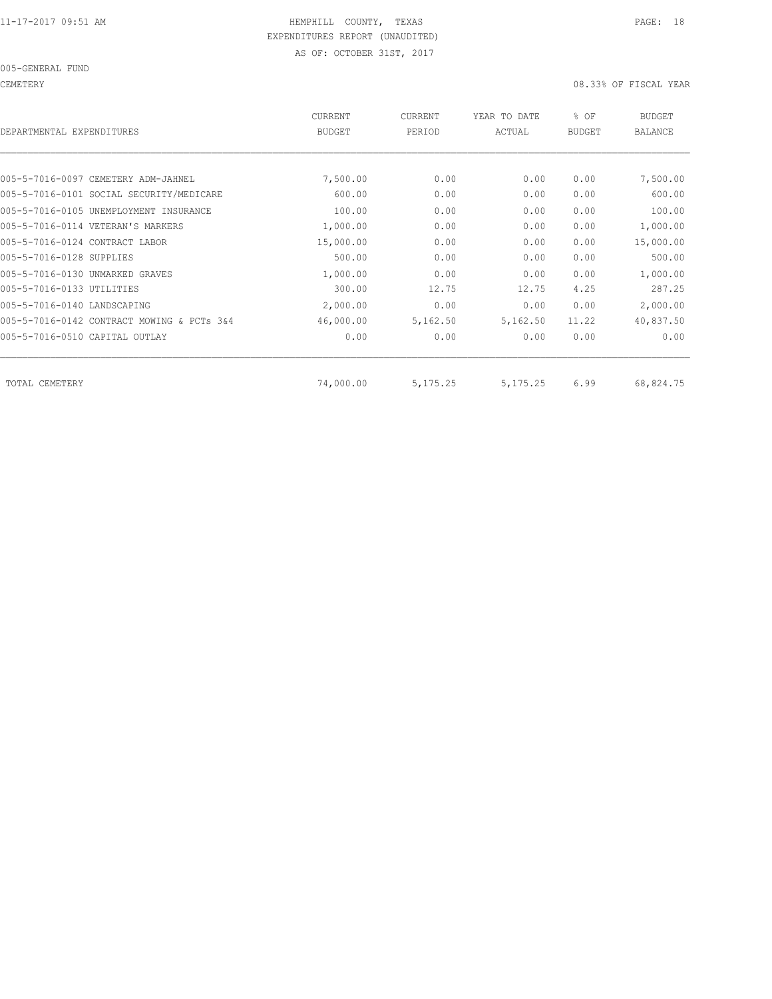CEMETERY 08.33% OF FISCAL YEAR

| DEPARTMENTAL EXPENDITURES                  | <b>CURRENT</b><br><b>BUDGET</b> | <b>CURRENT</b><br>PERIOD | YEAR TO DATE<br>ACTUAL | % OF<br><b>BUDGET</b> | <b>BUDGET</b><br><b>BALANCE</b> |
|--------------------------------------------|---------------------------------|--------------------------|------------------------|-----------------------|---------------------------------|
|                                            |                                 |                          |                        |                       |                                 |
| 005-5-7016-0097 CEMETERY ADM-JAHNEL        | 7,500.00                        | 0.00                     | 0.00                   | 0.00                  | 7,500.00                        |
| 005-5-7016-0101 SOCIAL SECURITY/MEDICARE   | 600.00                          | 0.00                     | 0.00                   | 0.00                  | 600.00                          |
| 005-5-7016-0105 UNEMPLOYMENT INSURANCE     | 100.00                          | 0.00                     | 0.00                   | 0.00                  | 100.00                          |
| 005-5-7016-0114 VETERAN'S MARKERS          | 1,000.00                        | 0.00                     | 0.00                   | 0.00                  | 1,000.00                        |
| 005-5-7016-0124 CONTRACT LABOR             | 15,000.00                       | 0.00                     | 0.00                   | 0.00                  | 15,000.00                       |
| 005-5-7016-0128 SUPPLIES                   | 500.00                          | 0.00                     | 0.00                   | 0.00                  | 500.00                          |
| 005-5-7016-0130 UNMARKED GRAVES            | 1,000.00                        | 0.00                     | 0.00                   | 0.00                  | 1,000.00                        |
| 005-5-7016-0133 UTILITIES                  | 300.00                          | 12.75                    | 12.75                  | 4.25                  | 287.25                          |
| 005-5-7016-0140 LANDSCAPING                | 2,000.00                        | 0.00                     | 0.00                   | 0.00                  | 2,000.00                        |
| 005-5-7016-0142 CONTRACT MOWING & PCTs 3&4 | 46,000.00                       | 5,162.50                 | 5,162.50               | 11.22                 | 40,837.50                       |
| 005-5-7016-0510 CAPITAL OUTLAY             | 0.00                            | 0.00                     | 0.00                   | 0.00                  | 0.00                            |
| TOTAL CEMETERY                             | 74,000.00                       | 5, 175. 25               | 5, 175. 25             | 6.99                  | 68,824.75                       |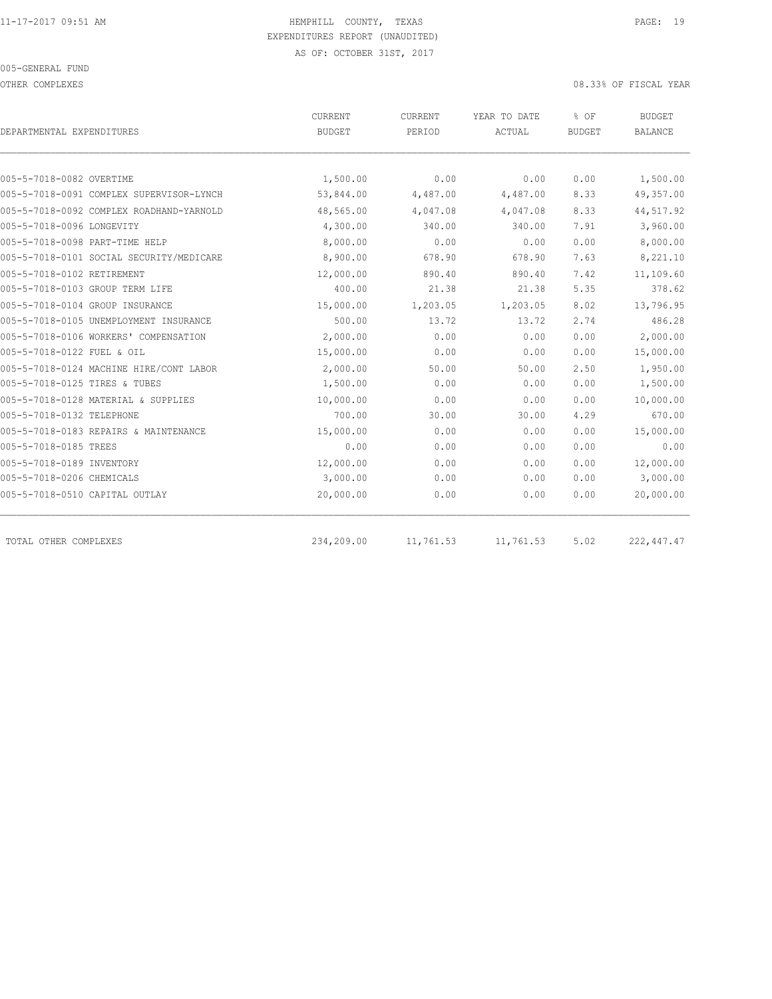OTHER COMPLEXES 08.33% OF FISCAL YEAR

|                                          | CURRENT       | CURRENT   | YEAR TO DATE | % OF          | <b>BUDGET</b>  |  |
|------------------------------------------|---------------|-----------|--------------|---------------|----------------|--|
| DEPARTMENTAL EXPENDITURES                | <b>BUDGET</b> | PERIOD    | ACTUAL       | <b>BUDGET</b> | <b>BALANCE</b> |  |
|                                          |               |           |              |               |                |  |
| 005-5-7018-0082 OVERTIME                 | 1,500.00      | 0.00      | 0.00         | 0.00          | 1,500.00       |  |
| 005-5-7018-0091 COMPLEX SUPERVISOR-LYNCH | 53,844.00     | 4,487.00  | 4,487.00     | 8.33          | 49,357.00      |  |
| 005-5-7018-0092 COMPLEX ROADHAND-YARNOLD | 48,565.00     | 4,047.08  | 4,047.08     | 8.33          | 44,517.92      |  |
| 005-5-7018-0096 LONGEVITY                | 4,300.00      | 340.00    | 340.00       | 7.91          | 3,960.00       |  |
| 005-5-7018-0098 PART-TIME HELP           | 8,000.00      | 0.00      | 0.00         | 0.00          | 8,000.00       |  |
| 005-5-7018-0101 SOCIAL SECURITY/MEDICARE | 8,900.00      | 678.90    | 678.90       | 7.63          | 8,221.10       |  |
| 005-5-7018-0102 RETIREMENT               | 12,000.00     | 890.40    | 890.40       | 7.42          | 11,109.60      |  |
| 005-5-7018-0103 GROUP TERM LIFE          | 400.00        | 21.38     | 21.38        | 5.35          | 378.62         |  |
| 005-5-7018-0104 GROUP INSURANCE          | 15,000.00     | 1,203.05  | 1,203.05     | 8.02          | 13,796.95      |  |
| 005-5-7018-0105 UNEMPLOYMENT INSURANCE   | 500.00        | 13.72     | 13.72        | 2.74          | 486.28         |  |
| 005-5-7018-0106 WORKERS' COMPENSATION    | 2,000.00      | 0.00      | 0.00         | 0.00          | 2,000.00       |  |
| 005-5-7018-0122 FUEL & OIL               | 15,000.00     | 0.00      | 0.00         | 0.00          | 15,000.00      |  |
| 005-5-7018-0124 MACHINE HIRE/CONT LABOR  | 2,000.00      | 50.00     | 50.00        | 2.50          | 1,950.00       |  |
| 005-5-7018-0125 TIRES & TUBES            | 1,500.00      | 0.00      | 0.00         | 0.00          | 1,500.00       |  |
| 005-5-7018-0128 MATERIAL & SUPPLIES      | 10,000.00     | 0.00      | 0.00         | 0.00          | 10,000.00      |  |
| 005-5-7018-0132 TELEPHONE                | 700.00        | 30.00     | 30.00        | 4.29          | 670.00         |  |
| 005-5-7018-0183 REPAIRS & MAINTENANCE    | 15,000.00     | 0.00      | 0.00         | 0.00          | 15,000.00      |  |
| 005-5-7018-0185 TREES                    | 0.00          | 0.00      | 0.00         | 0.00          | 0.00           |  |
| 005-5-7018-0189 INVENTORY                | 12,000.00     | 0.00      | 0.00         | 0.00          | 12,000.00      |  |
| 005-5-7018-0206 CHEMICALS                | 3,000.00      | 0.00      | 0.00         | 0.00          | 3,000.00       |  |
| 005-5-7018-0510 CAPITAL OUTLAY           | 20,000.00     | 0.00      | 0.00         | 0.00          | 20,000.00      |  |
| TOTAL OTHER COMPLEXES                    | 234,209.00    | 11,761.53 | 11,761.53    | 5.02          | 222, 447.47    |  |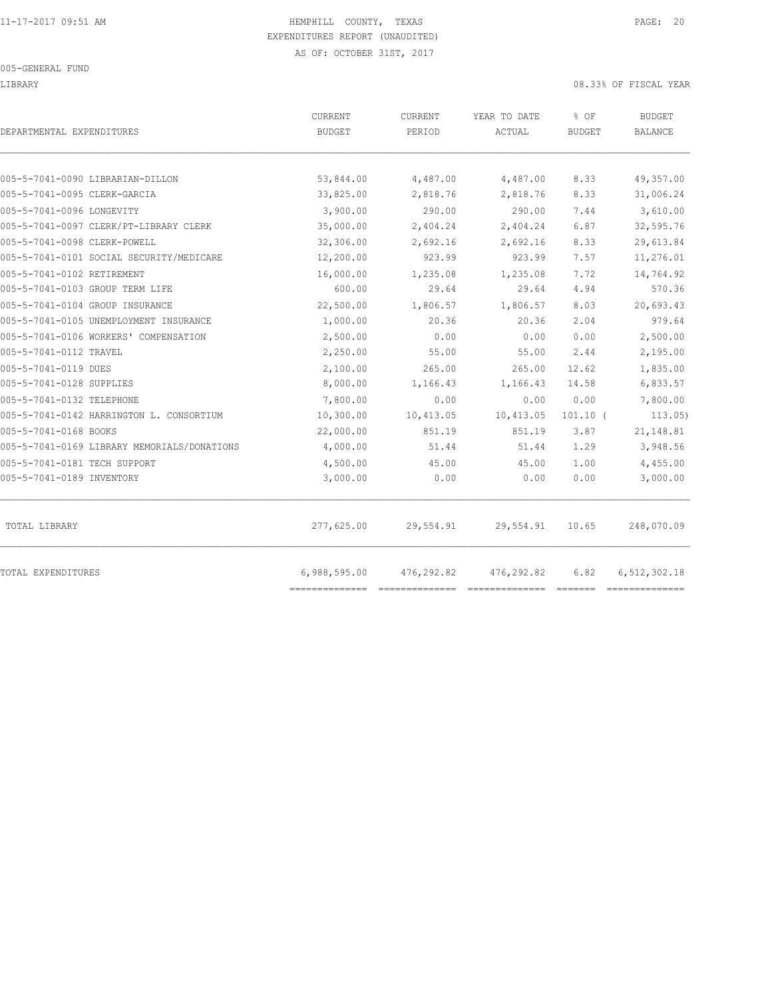LIBRARY 08.33% OF FISCAL YEAR

| DEPARTMENTAL EXPENDITURES                   | CURRENT<br><b>BUDGET</b> | CURRENT<br>PERIOD | YEAR TO DATE<br>ACTUAL | % OF<br><b>BUDGET</b> | <b>BUDGET</b><br><b>BALANCE</b> |
|---------------------------------------------|--------------------------|-------------------|------------------------|-----------------------|---------------------------------|
| 005-5-7041-0090 LIBRARIAN-DILLON            | 53,844.00                | 4,487.00          | 4,487.00               | 8.33                  | 49,357.00                       |
| 005-5-7041-0095 CLERK-GARCIA                | 33,825.00                | 2,818.76          | 2,818.76               | 8.33                  | 31,006.24                       |
| 005-5-7041-0096 LONGEVITY                   | 3,900.00                 | 290.00            | 290.00                 | 7.44                  | 3,610.00                        |
| 005-5-7041-0097 CLERK/PT-LIBRARY CLERK      | 35,000.00                | 2,404.24          | 2,404.24               | 6.87                  | 32,595.76                       |
| 005-5-7041-0098 CLERK-POWELL                | 32,306.00                | 2,692.16          | 2,692.16               | 8.33                  | 29,613.84                       |
| 005-5-7041-0101 SOCIAL SECURITY/MEDICARE    | 12,200.00                | 923.99            | 923.99                 | 7.57                  | 11,276.01                       |
| 005-5-7041-0102 RETIREMENT                  | 16,000.00                | 1,235.08          | 1,235.08               | 7.72                  | 14,764.92                       |
| 005-5-7041-0103 GROUP TERM LIFE             | 600.00                   | 29.64             | 29.64                  | 4.94                  | 570.36                          |
| 005-5-7041-0104 GROUP INSURANCE             | 22,500.00                | 1,806.57          | 1,806.57               | 8.03                  | 20,693.43                       |
| 005-5-7041-0105 UNEMPLOYMENT INSURANCE      | 1,000.00                 | 20.36             | 20.36                  | 2.04                  | 979.64                          |
| 005-5-7041-0106 WORKERS' COMPENSATION       | 2,500.00                 | 0.00              | 0.00                   | 0.00                  | 2,500.00                        |
| 005-5-7041-0112 TRAVEL                      | 2,250.00                 | 55.00             | 55.00                  | 2.44                  | 2,195.00                        |
| 005-5-7041-0119 DUES                        | 2,100.00                 | 265.00            | 265.00                 | 12.62                 | 1,835.00                        |
| 005-5-7041-0128 SUPPLIES                    | 8,000.00                 | 1,166.43          | 1,166.43               | 14.58                 | 6,833.57                        |
| 005-5-7041-0132 TELEPHONE                   | 7,800.00                 | 0.00              | 0.00                   | 0.00                  | 7,800.00                        |
| 005-5-7041-0142 HARRINGTON L. CONSORTIUM    | 10,300.00                | 10,413.05         | 10,413.05              | $101.10$ (            | 113.05                          |
| 005-5-7041-0168 BOOKS                       | 22,000.00                | 851.19            | 851.19                 | 3.87                  | 21,148.81                       |
| 005-5-7041-0169 LIBRARY MEMORIALS/DONATIONS | 4,000.00                 | 51.44             | 51.44                  | 1.29                  | 3,948.56                        |
| 005-5-7041-0181 TECH SUPPORT                | 4,500.00                 | 45.00             | 45.00                  | 1.00                  | 4,455.00                        |
| 005-5-7041-0189 INVENTORY                   | 3,000.00                 | 0.00              | 0.00                   | 0.00                  | 3,000.00                        |
| TOTAL LIBRARY                               | 277,625.00               | 29,554.91         | 29,554.91              | 10.65                 | 248,070.09                      |
| TOTAL EXPENDITURES                          | 6,988,595.00             | 476,292.82        | 476,292.82             | 6.82                  | 6,512,302.18                    |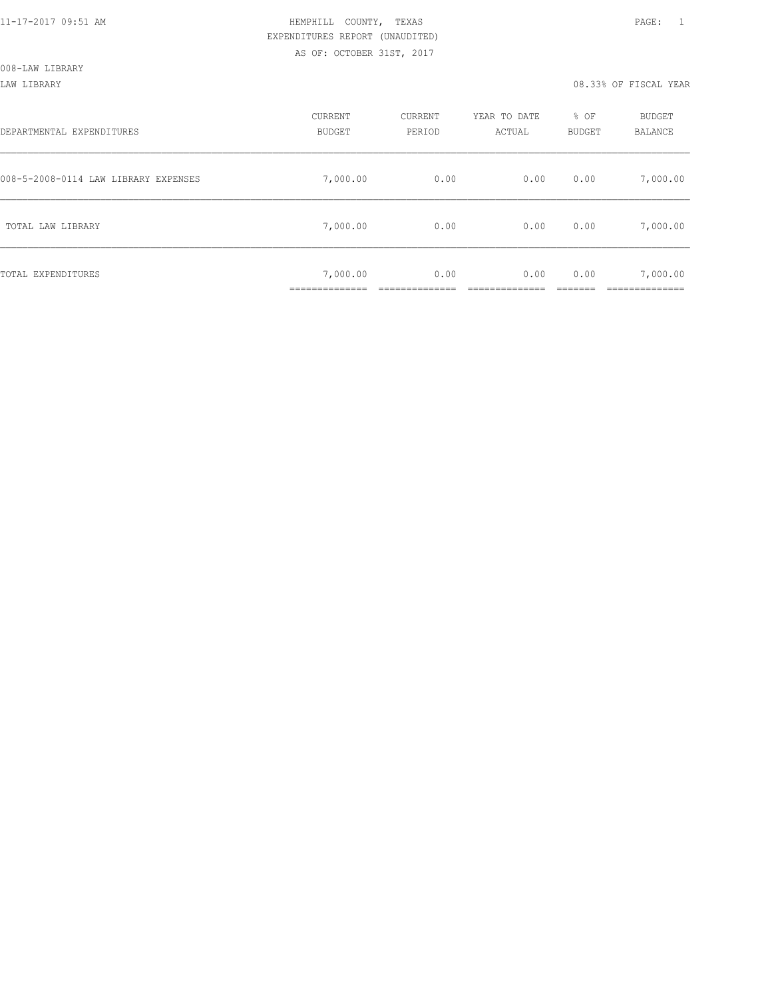LAW LIBRARY 08.33% OF FISCAL YEAR

| DEPARTMENTAL EXPENDITURES            | CURRENT<br><b>BUDGET</b>  | CURRENT<br>PERIOD | YEAR TO DATE<br>ACTUAL | % OF<br><b>BUDGET</b> | BUDGET<br>BALANCE |
|--------------------------------------|---------------------------|-------------------|------------------------|-----------------------|-------------------|
| 008-5-2008-0114 LAW LIBRARY EXPENSES | 7,000.00                  | 0.00              | 0.00                   | 0.00                  | 7,000.00          |
| TOTAL LAW LIBRARY                    | 7,000.00                  | 0.00              | 0.00                   | 0.00                  | 7,000.00          |
| TOTAL EXPENDITURES                   | 7,000.00<br>_____________ | 0.00              | 0.00                   | 0.00                  | 7,000.00          |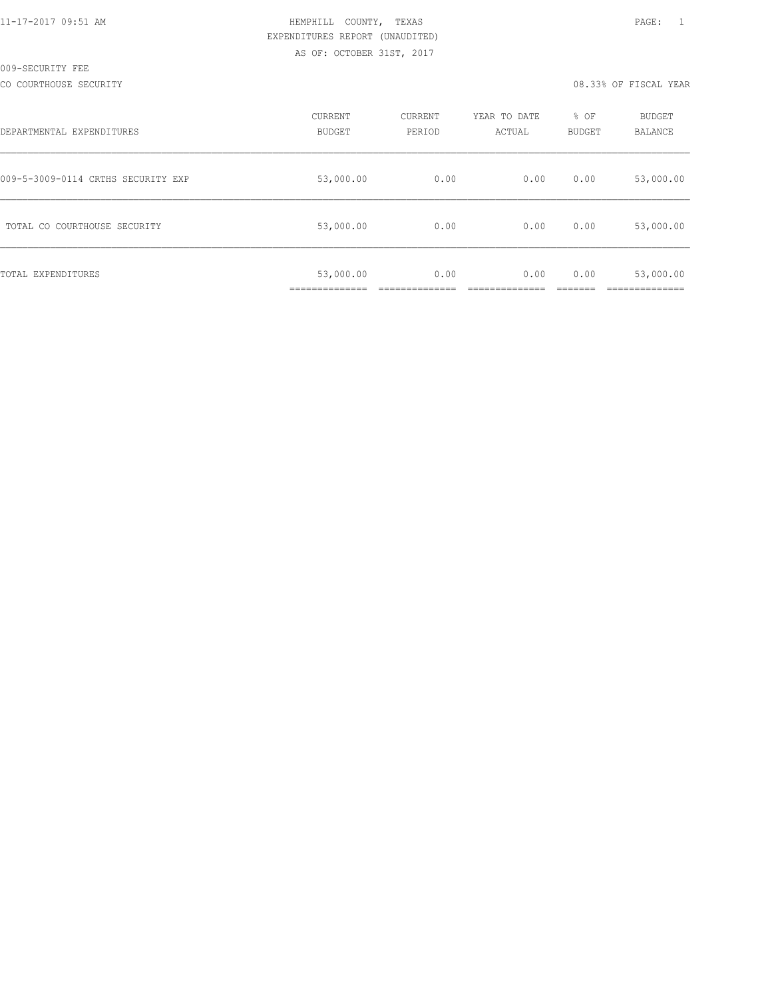|  | 11-17-2017 09:51 AM |  |
|--|---------------------|--|

## HEMPHILL COUNTY, TEXAS **Example 20:51 AM HEMPHILL** COUNTY, TEXAS EXPENDITURES REPORT (UNAUDITED) AS OF: OCTOBER 31ST, 2017

#### CO COURTHOUSE SECURITY CONSULTED AND RELEASE OF SECOND VERRIFICAL YEAR OR SUPPOSE OF FISCAL YEAR

| DEPARTMENTAL EXPENDITURES          | CURRENT<br><b>BUDGET</b> | CURRENT<br>PERIOD | YEAR TO DATE<br>ACTUAL | % OF<br><b>BUDGET</b> | BUDGET<br>BALANCE |
|------------------------------------|--------------------------|-------------------|------------------------|-----------------------|-------------------|
| 009-5-3009-0114 CRTHS SECURITY EXP | 53,000.00                | 0.00              | 0.00                   | 0.00                  | 53,000.00         |
| TOTAL CO COURTHOUSE SECURITY       | 53,000.00                | 0.00              | 0.00                   | 0.00                  | 53,000.00         |
| TOTAL EXPENDITURES                 | 53,000.00                | 0.00              | 0.00                   | 0.00                  | 53,000.00         |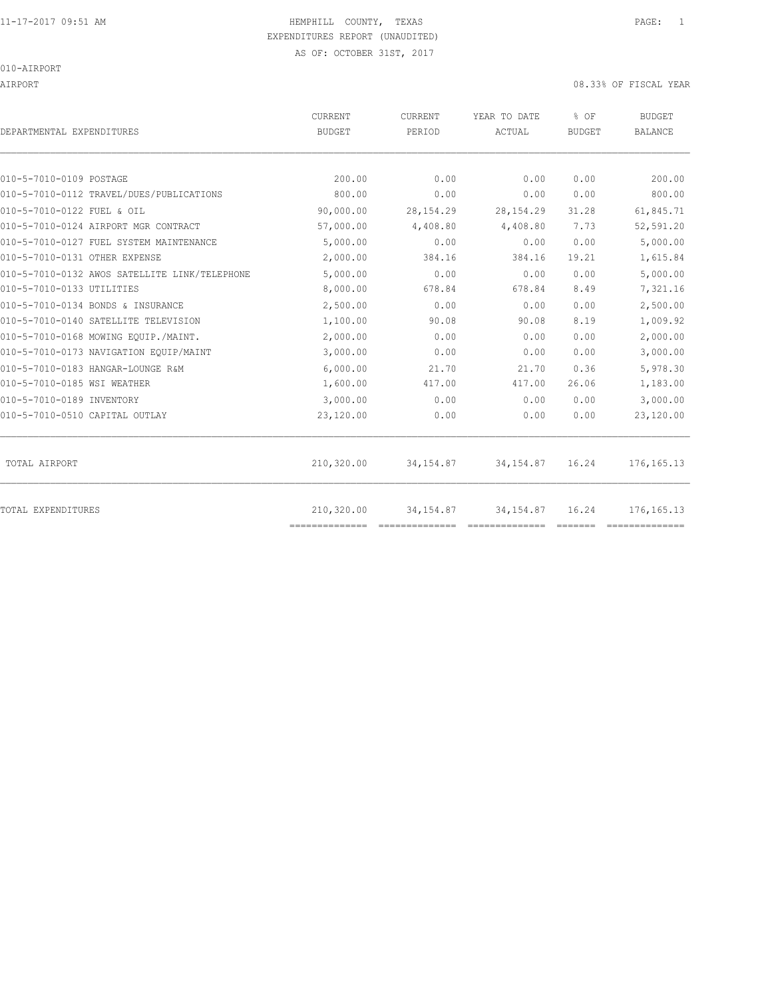AIRPORT 08.33% OF FISCAL YEAR

| DEPARTMENTAL EXPENDITURES                     | <b>CURRENT</b><br><b>BUDGET</b> | CURRENT<br>PERIOD | YEAR TO DATE<br>ACTUAL | % OF<br><b>BUDGET</b> | <b>BUDGET</b><br><b>BALANCE</b> |
|-----------------------------------------------|---------------------------------|-------------------|------------------------|-----------------------|---------------------------------|
|                                               |                                 |                   |                        |                       |                                 |
| 010-5-7010-0109 POSTAGE                       | 200.00                          | 0.00              | 0.00                   | 0.00                  | 200.00                          |
| 010-5-7010-0112 TRAVEL/DUES/PUBLICATIONS      | 800.00                          | 0.00              | 0.00                   | 0.00                  | 800.00                          |
| 010-5-7010-0122 FUEL & OIL                    | 90,000.00                       | 28, 154. 29       | 28, 154. 29            | 31.28                 | 61,845.71                       |
| 010-5-7010-0124 AIRPORT MGR CONTRACT          | 57,000.00                       | 4,408.80          | 4,408.80               | 7.73                  | 52,591.20                       |
| 010-5-7010-0127 FUEL SYSTEM MAINTENANCE       | 5,000.00                        | 0.00              | 0.00                   | 0.00                  | 5,000.00                        |
| 010-5-7010-0131 OTHER EXPENSE                 | 2,000.00                        | 384.16            | 384.16                 | 19.21                 | 1,615.84                        |
| 010-5-7010-0132 AWOS SATELLITE LINK/TELEPHONE | 5,000.00                        | 0.00              | 0.00                   | 0.00                  | 5,000.00                        |
| 010-5-7010-0133 UTILITIES                     | 8,000.00                        | 678.84            | 678.84                 | 8.49                  | 7,321.16                        |
| 010-5-7010-0134 BONDS & INSURANCE             | 2,500.00                        | 0.00              | 0.00                   | 0.00                  | 2,500.00                        |
| 010-5-7010-0140 SATELLITE TELEVISION          | 1,100.00                        | 90.08             | 90.08                  | 8.19                  | 1,009.92                        |
| 010-5-7010-0168 MOWING EOUIP./MAINT.          | 2,000.00                        | 0.00              | 0.00                   | 0.00                  | 2,000.00                        |
| 010-5-7010-0173 NAVIGATION EQUIP/MAINT        | 3,000.00                        | 0.00              | 0.00                   | 0.00                  | 3,000.00                        |
| 010-5-7010-0183 HANGAR-LOUNGE R&M             | 6.000.00                        | 21.70             | 21.70                  | 0.36                  | 5,978.30                        |
| 010-5-7010-0185 WSI WEATHER                   | 1,600.00                        | 417.00            | 417.00                 | 26.06                 | 1,183.00                        |
| 010-5-7010-0189 INVENTORY                     | 3,000.00                        | 0.00              | 0.00                   | 0.00                  | 3,000.00                        |
| 010-5-7010-0510 CAPITAL OUTLAY                | 23,120.00                       | 0.00              | 0.00                   | 0.00                  | 23,120.00                       |
| TOTAL AIRPORT                                 | 210,320.00                      | 34, 154.87        | 34, 154.87             | 16.24                 | 176, 165. 13                    |
| <b>TOTAL EXPENDITURES</b>                     | 210,320.00<br>==============    | 34, 154.87        | 34, 154.87             | 16.24                 | 176, 165. 13                    |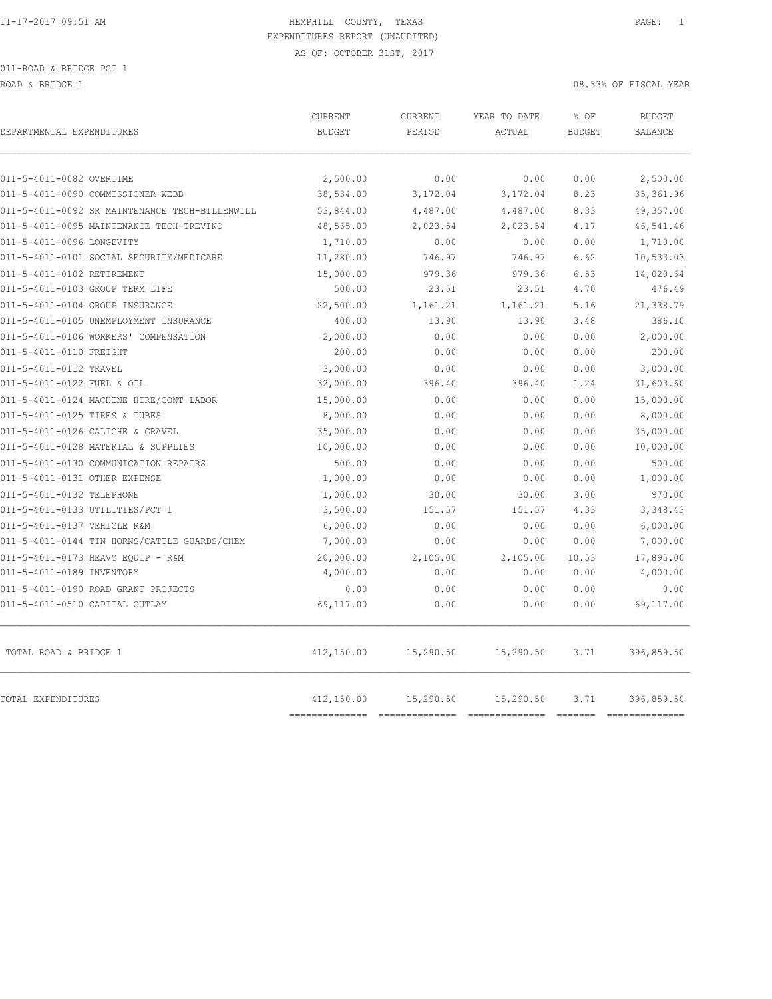ROAD & BRIDGE 1 08.33% OF FISCAL YEAR

| DEPARTMENTAL EXPENDITURES                      | <b>CURRENT</b><br><b>BUDGET</b> | CURRENT<br>PERIOD | YEAR TO DATE<br>ACTUAL | % OF<br><b>BUDGET</b> | <b>BUDGET</b><br><b>BALANCE</b> |
|------------------------------------------------|---------------------------------|-------------------|------------------------|-----------------------|---------------------------------|
| 011-5-4011-0082 OVERTIME                       | 2,500.00                        | 0.00              | 0.00                   | 0.00                  | 2,500.00                        |
| 011-5-4011-0090 COMMISSIONER-WEBB              | 38,534.00                       | 3,172.04          | 3,172.04               | 8.23                  | 35, 361.96                      |
| 011-5-4011-0092 SR MAINTENANCE TECH-BILLENWILL | 53,844.00                       | 4,487.00          | 4,487.00               | 8.33                  | 49,357.00                       |
| 011-5-4011-0095 MAINTENANCE TECH-TREVINO       | 48,565.00                       | 2,023.54          | 2,023.54               | 4.17                  | 46,541.46                       |
| 011-5-4011-0096 LONGEVITY                      | 1,710.00                        | 0.00              | 0.00                   | 0.00                  | 1,710.00                        |
| 011-5-4011-0101 SOCIAL SECURITY/MEDICARE       | 11,280.00                       | 746.97            | 746.97                 | 6.62                  | 10,533.03                       |
| 011-5-4011-0102 RETIREMENT                     | 15,000.00                       | 979.36            | 979.36                 | 6.53                  | 14,020.64                       |
| 011-5-4011-0103 GROUP TERM LIFE                | 500.00                          | 23.51             | 23.51                  | 4.70                  | 476.49                          |
| 011-5-4011-0104 GROUP INSURANCE                | 22,500.00                       | 1,161.21          | 1,161.21               | 5.16                  | 21,338.79                       |
| 011-5-4011-0105 UNEMPLOYMENT INSURANCE         | 400.00                          | 13.90             | 13.90                  | 3.48                  | 386.10                          |
| 011-5-4011-0106 WORKERS' COMPENSATION          | 2,000.00                        | 0.00              | 0.00                   | 0.00                  | 2,000.00                        |
| 011-5-4011-0110 FREIGHT                        | 200.00                          | 0.00              | 0.00                   | 0.00                  | 200.00                          |
| 011-5-4011-0112 TRAVEL                         | 3,000.00                        | 0.00              | 0.00                   | 0.00                  | 3,000.00                        |
| 011-5-4011-0122 FUEL & OIL                     | 32,000.00                       | 396.40            | 396.40                 | 1.24                  | 31,603.60                       |
| 011-5-4011-0124 MACHINE HIRE/CONT LABOR        | 15,000.00                       | 0.00              | 0.00                   | 0.00                  | 15,000.00                       |
| 011-5-4011-0125 TIRES & TUBES                  | 8,000.00                        | 0.00              | 0.00                   | 0.00                  | 8,000.00                        |
| 011-5-4011-0126 CALICHE & GRAVEL               | 35,000.00                       | 0.00              | 0.00                   | 0.00                  | 35,000.00                       |
| 011-5-4011-0128 MATERIAL & SUPPLIES            | 10,000.00                       | 0.00              | 0.00                   | 0.00                  | 10,000.00                       |
| 011-5-4011-0130 COMMUNICATION REPAIRS          | 500.00                          | 0.00              | 0.00                   | 0.00                  | 500.00                          |
| 011-5-4011-0131 OTHER EXPENSE                  | 1,000.00                        | 0.00              | 0.00                   | 0.00                  | 1,000.00                        |
| 011-5-4011-0132 TELEPHONE                      | 1,000.00                        | 30.00             | 30.00                  | 3.00                  | 970.00                          |
| 011-5-4011-0133 UTILITIES/PCT 1                | 3,500.00                        | 151.57            | 151.57                 | 4.33                  | 3,348.43                        |
| 011-5-4011-0137 VEHICLE R&M                    | 6,000.00                        | 0.00              | 0.00                   | 0.00                  | 6,000.00                        |
| 011-5-4011-0144 TIN HORNS/CATTLE GUARDS/CHEM   | 7,000.00                        | 0.00              | 0.00                   | 0.00                  | 7,000.00                        |
| 011-5-4011-0173 HEAVY EQUIP - R&M              | 20,000.00                       | 2,105.00          | 2,105.00               | 10.53                 | 17,895.00                       |
| 011-5-4011-0189 INVENTORY                      | 4,000.00                        | 0.00              | 0.00                   | 0.00                  | 4,000.00                        |
| 011-5-4011-0190 ROAD GRANT PROJECTS            | 0.00                            | 0.00              | 0.00                   | 0.00                  | 0.00                            |
| 011-5-4011-0510 CAPITAL OUTLAY                 | 69,117.00                       | 0.00              | 0.00                   | 0.00                  | 69,117.00                       |
| TOTAL ROAD & BRIDGE 1                          | 412,150.00                      | 15,290.50         | 15,290.50              | 3.71                  | 396,859.50                      |
| TOTAL EXPENDITURES                             | 412,150.00                      | 15,290.50         | 15,290.50              | 3.71                  | 396,859.50                      |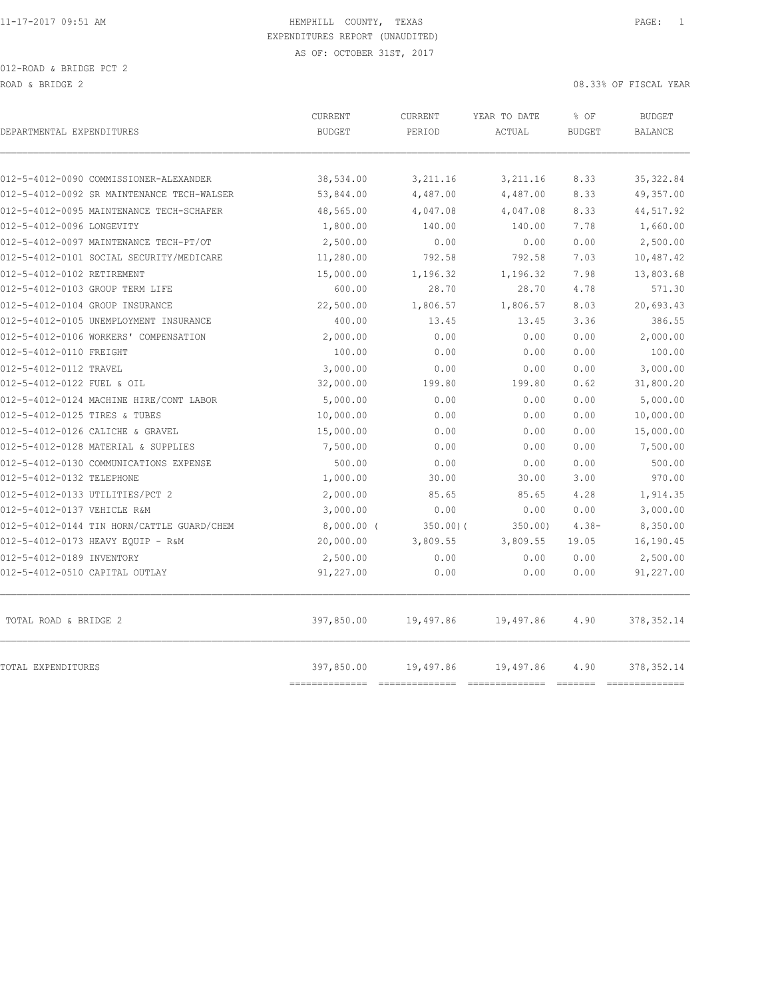|                                            | <b>CURRENT</b>             | <b>CURRENT</b> | YEAR TO DATE | % OF          | <b>BUDGET</b>             |
|--------------------------------------------|----------------------------|----------------|--------------|---------------|---------------------------|
| DEPARTMENTAL EXPENDITURES                  | <b>BUDGET</b>              | PERIOD         | ACTUAL       | <b>BUDGET</b> | <b>BALANCE</b>            |
|                                            |                            |                |              |               |                           |
| 012-5-4012-0090 COMMISSIONER-ALEXANDER     | 38,534.00                  | 3,211.16       | 3,211.16     | 8.33          | 35, 322.84                |
| 012-5-4012-0092 SR MAINTENANCE TECH-WALSER | 53,844.00                  | 4,487.00       | 4,487.00     | 8.33          | 49,357.00                 |
| 012-5-4012-0095 MAINTENANCE TECH-SCHAFER   | 48,565.00                  | 4,047.08       | 4,047.08     | 8.33          | 44,517.92                 |
| 012-5-4012-0096 LONGEVITY                  | 1,800.00                   | 140.00         | 140.00       | 7.78          | 1,660.00                  |
| 012-5-4012-0097 MAINTENANCE TECH-PT/OT     | 2,500.00                   | 0.00           | 0.00         | 0.00          | 2,500.00                  |
| 012-5-4012-0101 SOCIAL SECURITY/MEDICARE   | 11,280.00                  | 792.58         | 792.58       | 7.03          | 10,487.42                 |
| 012-5-4012-0102 RETIREMENT                 | 15,000.00                  | 1,196.32       | 1,196.32     | 7.98          | 13,803.68                 |
| 012-5-4012-0103 GROUP TERM LIFE            | 600.00                     | 28.70          | 28.70        | 4.78          | 571.30                    |
| 012-5-4012-0104 GROUP INSURANCE            | 22,500.00                  | 1,806.57       | 1,806.57     | 8.03          | 20,693.43                 |
| 012-5-4012-0105 UNEMPLOYMENT INSURANCE     | 400.00                     | 13.45          | 13.45        | 3.36          | 386.55                    |
| 012-5-4012-0106 WORKERS' COMPENSATION      | 2,000.00                   | 0.00           | 0.00         | 0.00          | 2,000.00                  |
| 012-5-4012-0110 FREIGHT                    | 100.00                     | 0.00           | 0.00         | 0.00          | 100.00                    |
| 012-5-4012-0112 TRAVEL                     | 3,000.00                   | 0.00           | 0.00         | 0.00          | 3,000.00                  |
| 012-5-4012-0122 FUEL & OIL                 | 32,000.00                  | 199.80         | 199.80       | 0.62          | 31,800.20                 |
| 012-5-4012-0124 MACHINE HIRE/CONT LABOR    | 5,000.00                   | 0.00           | 0.00         | 0.00          | 5,000.00                  |
| 012-5-4012-0125 TIRES & TUBES              | 10,000.00                  | 0.00           | 0.00         | 0.00          | 10,000.00                 |
| 012-5-4012-0126 CALICHE & GRAVEL           | 15,000.00                  | 0.00           | 0.00         | 0.00          | 15,000.00                 |
| 012-5-4012-0128 MATERIAL & SUPPLIES        | 7,500.00                   | 0.00           | 0.00         | 0.00          | 7,500.00                  |
| 012-5-4012-0130 COMMUNICATIONS EXPENSE     | 500.00                     | 0.00           | 0.00         | 0.00          | 500.00                    |
| 012-5-4012-0132 TELEPHONE                  | 1,000.00                   | 30.00          | 30.00        | 3.00          | 970.00                    |
| 012-5-4012-0133 UTILITIES/PCT 2            | 2,000.00                   | 85.65          | 85.65        | 4.28          | 1,914.35                  |
| 012-5-4012-0137 VEHICLE R&M                | 3,000.00                   | 0.00           | 0.00         | 0.00          | 3,000.00                  |
| 012-5-4012-0144 TIN HORN/CATTLE GUARD/CHEM | $8,000.00$ (               | 350.00(        | 350.00       | $4.38 -$      | 8,350.00                  |
| 012-5-4012-0173 HEAVY EQUIP - R&M          | 20,000.00                  | 3,809.55       | 3,809.55     | 19.05         | 16,190.45                 |
| 012-5-4012-0189 INVENTORY                  | 2,500.00                   | 0.00           | 0.00         | 0.00          | 2,500.00                  |
| 012-5-4012-0510 CAPITAL OUTLAY             | 91,227.00                  | 0.00           | 0.00         | 0.00          | 91,227.00                 |
| TOTAL ROAD & BRIDGE 2                      | 397,850.00                 | 19,497.86      | 19,497.86    | 4.90          | 378, 352.14               |
| TOTAL EXPENDITURES                         | 397,850.00<br>------------ | 19,497.86      | 19,497.86    | 4.90          | 378, 352.14<br>========== |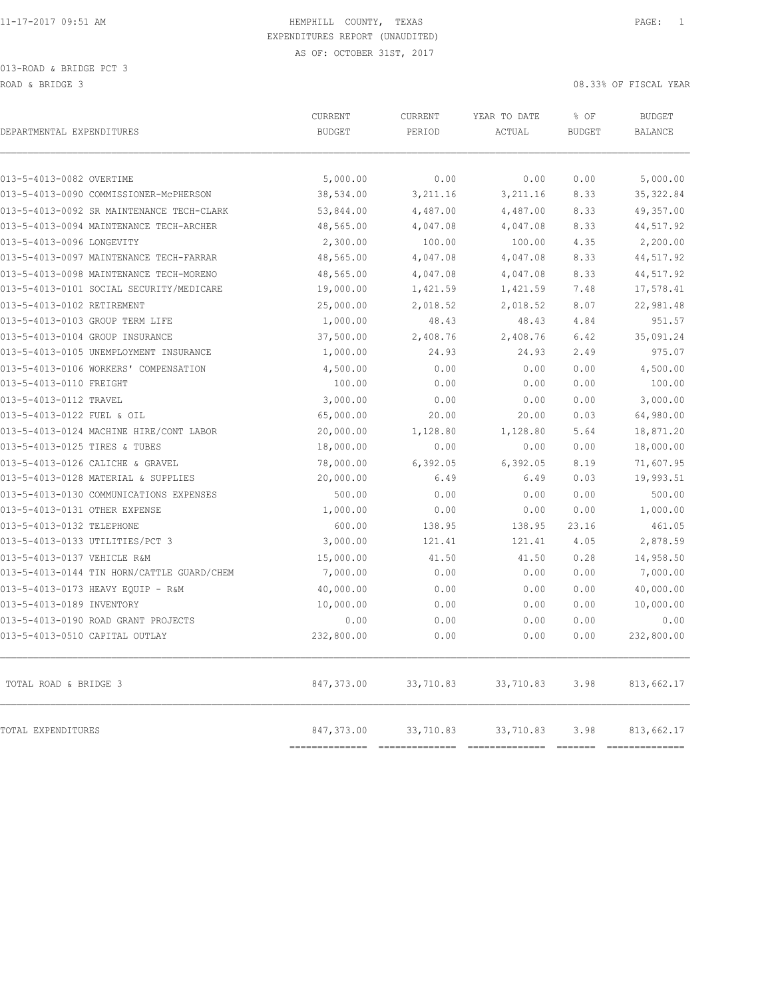| DEPARTMENTAL EXPENDITURES                  | CURRENT<br><b>BUDGET</b>     | CURRENT<br>PERIOD            | YEAR TO DATE<br>ACTUAL      | % OF<br><b>BUDGET</b> | <b>BUDGET</b><br><b>BALANCE</b> |
|--------------------------------------------|------------------------------|------------------------------|-----------------------------|-----------------------|---------------------------------|
| 013-5-4013-0082 OVERTIME                   | 5,000.00                     | 0.00                         | 0.00                        | 0.00                  | 5,000.00                        |
| 013-5-4013-0090 COMMISSIONER-MCPHERSON     | 38,534.00                    | 3, 211.16                    | 3,211.16                    | 8.33                  | 35, 322.84                      |
| 013-5-4013-0092 SR MAINTENANCE TECH-CLARK  | 53,844.00                    | 4,487.00                     | 4,487.00                    | 8.33                  | 49,357.00                       |
| 013-5-4013-0094 MAINTENANCE TECH-ARCHER    | 48,565.00                    | 4,047.08                     | 4,047.08                    | 8.33                  | 44,517.92                       |
| 013-5-4013-0096 LONGEVITY                  | 2,300.00                     | 100.00                       | 100.00                      | 4.35                  | 2,200.00                        |
| 013-5-4013-0097 MAINTENANCE TECH-FARRAR    | 48,565.00                    | 4,047.08                     | 4,047.08                    | 8.33                  | 44,517.92                       |
| 013-5-4013-0098 MAINTENANCE TECH-MORENO    | 48,565.00                    | 4,047.08                     | 4,047.08                    | 8.33                  | 44,517.92                       |
| 013-5-4013-0101 SOCIAL SECURITY/MEDICARE   | 19,000.00                    | 1,421.59                     | 1,421.59                    | 7.48                  | 17,578.41                       |
| 013-5-4013-0102 RETIREMENT                 | 25,000.00                    | 2,018.52                     | 2,018.52                    | 8.07                  | 22,981.48                       |
| 013-5-4013-0103 GROUP TERM LIFE            | 1,000.00                     | 48.43                        | 48.43                       | 4.84                  | 951.57                          |
| 013-5-4013-0104 GROUP INSURANCE            | 37,500.00                    | 2,408.76                     | 2,408.76                    | 6.42                  | 35,091.24                       |
| 013-5-4013-0105 UNEMPLOYMENT INSURANCE     | 1,000.00                     | 24.93                        | 24.93                       | 2.49                  | 975.07                          |
| 013-5-4013-0106 WORKERS' COMPENSATION      | 4,500.00                     | 0.00                         | 0.00                        | 0.00                  | 4,500.00                        |
| 013-5-4013-0110 FREIGHT                    | 100.00                       | 0.00                         | 0.00                        | 0.00                  | 100.00                          |
| 013-5-4013-0112 TRAVEL                     | 3,000.00                     | 0.00                         | 0.00                        | 0.00                  | 3,000.00                        |
| 013-5-4013-0122 FUEL & OIL                 | 65,000.00                    | 20.00                        | 20.00                       | 0.03                  | 64,980.00                       |
| 013-5-4013-0124 MACHINE HIRE/CONT LABOR    | 20,000.00                    | 1,128.80                     | 1,128.80                    | 5.64                  | 18,871.20                       |
| 013-5-4013-0125 TIRES & TUBES              | 18,000.00                    | 0.00                         | 0.00                        | 0.00                  | 18,000.00                       |
| 013-5-4013-0126 CALICHE & GRAVEL           | 78,000.00                    | 6,392.05                     | 6,392.05                    | 8.19                  | 71,607.95                       |
| 013-5-4013-0128 MATERIAL & SUPPLIES        | 20,000.00                    | 6.49                         | 6.49                        | 0.03                  | 19,993.51                       |
| 013-5-4013-0130 COMMUNICATIONS EXPENSES    | 500.00                       | 0.00                         | 0.00                        | 0.00                  | 500.00                          |
| 013-5-4013-0131 OTHER EXPENSE              | 1,000.00                     | 0.00                         | 0.00                        | 0.00                  | 1,000.00                        |
| 013-5-4013-0132 TELEPHONE                  | 600.00                       | 138.95                       | 138.95                      | 23.16                 | 461.05                          |
| 013-5-4013-0133 UTILITIES/PCT 3            | 3,000.00                     | 121.41                       | 121.41                      | 4.05                  | 2,878.59                        |
| 013-5-4013-0137 VEHICLE R&M                | 15,000.00                    | 41.50                        | 41.50                       | 0.28                  | 14,958.50                       |
| 013-5-4013-0144 TIN HORN/CATTLE GUARD/CHEM | 7,000.00                     | 0.00                         | 0.00                        | 0.00                  | 7,000.00                        |
| 013-5-4013-0173 HEAVY EQUIP - R&M          | 40,000.00                    | 0.00                         | 0.00                        | 0.00                  | 40,000.00                       |
| 013-5-4013-0189 INVENTORY                  | 10,000.00                    | 0.00                         | 0.00                        | 0.00                  | 10,000.00                       |
| 013-5-4013-0190 ROAD GRANT PROJECTS        | 0.00                         | 0.00                         | 0.00                        | 0.00                  | 0.00                            |
| 013-5-4013-0510 CAPITAL OUTLAY             | 232,800.00                   | 0.00                         | 0.00                        | 0.00                  | 232,800.00                      |
| TOTAL ROAD & BRIDGE 3                      | 847,373.00                   | 33,710.83                    | 33,710.83                   | 3.98                  | 813,662.17                      |
| TOTAL EXPENDITURES                         | 847,373.00<br>============== | 33,710.83<br>--------------- | 33,710.83<br>============== | 3.98                  | 813,662.17                      |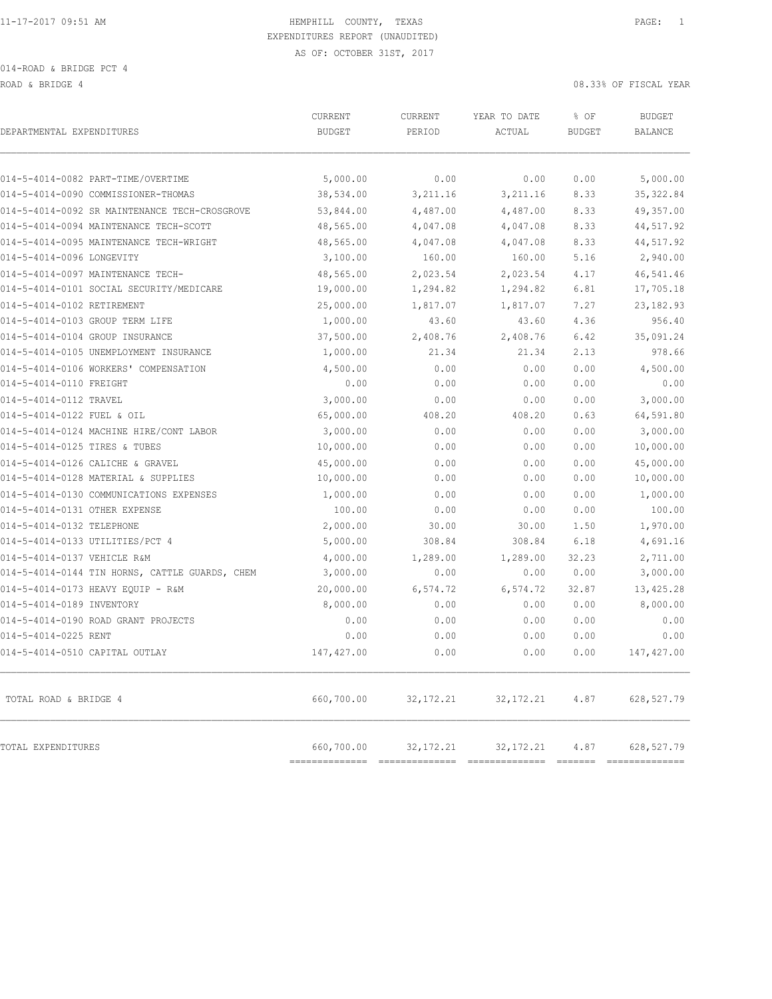ROAD & BRIDGE 4 08.33% OF FISCAL YEAR (1999) AND ROAD & BRIDGE 4

| DEPARTMENTAL EXPENDITURES                      | CURRENT<br><b>BUDGET</b>  | CURRENT<br>PERIOD | YEAR TO DATE<br><b>ACTUAL</b> | % OF<br><b>BUDGET</b> | <b>BUDGET</b><br><b>BALANCE</b> |
|------------------------------------------------|---------------------------|-------------------|-------------------------------|-----------------------|---------------------------------|
| 014-5-4014-0082 PART-TIME/OVERTIME             | 5,000.00                  | 0.00              | 0.00                          | 0.00                  | 5,000.00                        |
| 014-5-4014-0090 COMMISSIONER-THOMAS            | 38,534.00                 | 3, 211.16         | 3, 211.16                     | 8.33                  | 35, 322.84                      |
| 014-5-4014-0092 SR MAINTENANCE TECH-CROSGROVE  | 53,844.00                 | 4,487.00          | 4,487.00                      | 8.33                  | 49,357.00                       |
| 014-5-4014-0094 MAINTENANCE TECH-SCOTT         | 48,565.00                 | 4,047.08          | 4,047.08                      | 8.33                  | 44,517.92                       |
| 014-5-4014-0095 MAINTENANCE TECH-WRIGHT        | 48,565.00                 | 4,047.08          | 4,047.08                      | 8.33                  | 44,517.92                       |
| 014-5-4014-0096 LONGEVITY                      | 3,100.00                  | 160.00            | 160.00                        | 5.16                  | 2,940.00                        |
| 014-5-4014-0097 MAINTENANCE TECH-              | 48,565.00                 | 2,023.54          | 2,023.54                      | 4.17                  | 46,541.46                       |
| 014-5-4014-0101 SOCIAL SECURITY/MEDICARE       | 19,000.00                 | 1,294.82          | 1,294.82                      | 6.81                  | 17,705.18                       |
| 014-5-4014-0102 RETIREMENT                     | 25,000.00                 | 1,817.07          | 1,817.07                      | 7.27                  | 23, 182.93                      |
| 014-5-4014-0103 GROUP TERM LIFE                | 1,000.00                  | 43.60             | 43.60                         | 4.36                  | 956.40                          |
| 014-5-4014-0104 GROUP INSURANCE                | 37,500.00                 | 2,408.76          | 2,408.76                      | 6.42                  | 35,091.24                       |
| 014-5-4014-0105 UNEMPLOYMENT INSURANCE         | 1,000.00                  | 21.34             | 21.34                         | 2.13                  | 978.66                          |
| 014-5-4014-0106 WORKERS' COMPENSATION          | 4,500.00                  | 0.00              | 0.00                          | 0.00                  | 4,500.00                        |
| 014-5-4014-0110 FREIGHT                        | 0.00                      | 0.00              | 0.00                          | 0.00                  | 0.00                            |
| 014-5-4014-0112 TRAVEL                         | 3,000.00                  | 0.00              | 0.00                          | 0.00                  | 3,000.00                        |
| 014-5-4014-0122 FUEL & OIL                     | 65,000.00                 | 408.20            | 408.20                        | 0.63                  | 64,591.80                       |
| 014-5-4014-0124 MACHINE HIRE/CONT LABOR        | 3,000.00                  | 0.00              | 0.00                          | 0.00                  | 3,000.00                        |
| 014-5-4014-0125 TIRES & TUBES                  | 10,000.00                 | 0.00              | 0.00                          | 0.00                  | 10,000.00                       |
| 014-5-4014-0126 CALICHE & GRAVEL               | 45,000.00                 | 0.00              | 0.00                          | 0.00                  | 45,000.00                       |
| 014-5-4014-0128 MATERIAL & SUPPLIES            | 10,000.00                 | 0.00              | 0.00                          | 0.00                  | 10,000.00                       |
| 014-5-4014-0130 COMMUNICATIONS EXPENSES        | 1,000.00                  | 0.00              | 0.00                          | 0.00                  | 1,000.00                        |
| 014-5-4014-0131 OTHER EXPENSE                  | 100.00                    | 0.00              | 0.00                          | 0.00                  | 100.00                          |
| 014-5-4014-0132 TELEPHONE                      | 2,000.00                  | 30.00             | 30.00                         | 1.50                  | 1,970.00                        |
| 014-5-4014-0133 UTILITIES/PCT 4                | 5,000.00                  | 308.84            | 308.84                        | 6.18                  | 4,691.16                        |
| 014-5-4014-0137 VEHICLE R&M                    | 4,000.00                  | 1,289.00          | 1,289.00                      | 32.23                 | 2,711.00                        |
| 014-5-4014-0144 TIN HORNS, CATTLE GUARDS, CHEM | 3,000.00                  | 0.00              | 0.00                          | 0.00                  | 3,000.00                        |
| 014-5-4014-0173 HEAVY EQUIP - R&M              | 20,000.00                 | 6,574.72          | 6,574.72                      | 32.87                 | 13,425.28                       |
| 014-5-4014-0189 INVENTORY                      | 8,000.00                  | 0.00              | 0.00                          | 0.00                  | 8,000.00                        |
| 014-5-4014-0190 ROAD GRANT PROJECTS            | 0.00                      | 0.00              | 0.00                          | 0.00                  | 0.00                            |
| 014-5-4014-0225 RENT                           | 0.00                      | 0.00              | 0.00                          | 0.00                  | 0.00                            |
| 014-5-4014-0510 CAPITAL OUTLAY                 | 147, 427.00               | 0.00              | 0.00                          | 0.00                  | 147,427.00                      |
| TOTAL ROAD & BRIDGE 4                          | 660,700.00                | 32, 172. 21       | 32, 172. 21                   | 4.87                  | 628,527.79                      |
| TOTAL EXPENDITURES                             | 660,700.00<br>=========== | 32, 172. 21       | 32, 172. 21                   | 4.87                  | 628,527.79                      |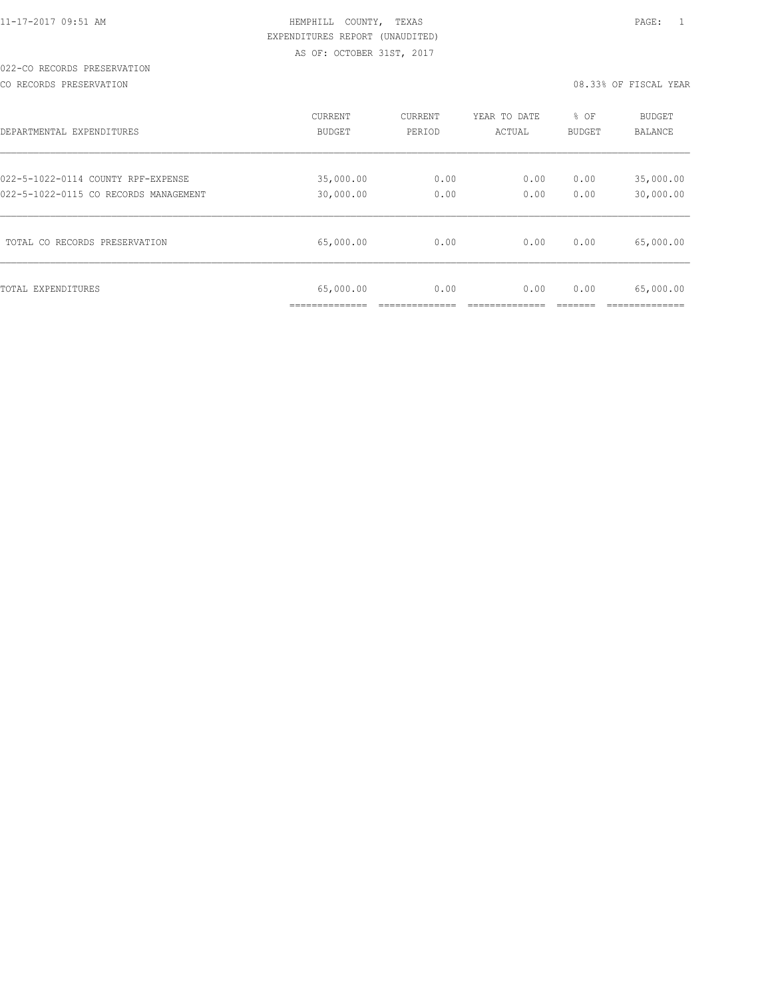# 022-CO RECORDS PRESERVATION

CO RECORDS PRESERVATION 08.33% OF FISCAL YEAR

| DEPARTMENTAL EXPENDITURES             | CURRENT                      | CURRENT | YEAR TO DATE | % OF   | <b>BUDGET</b>  |
|---------------------------------------|------------------------------|---------|--------------|--------|----------------|
|                                       | <b>BUDGET</b>                | PERIOD  | ACTUAL       | BUDGET | <b>BALANCE</b> |
| 022-5-1022-0114 COUNTY RPF-EXPENSE    | 35,000.00                    | 0.00    | 0.00         | 0.00   | 35,000.00      |
| 022-5-1022-0115 CO RECORDS MANAGEMENT | 30,000.00                    | 0.00    | 0.00         | 0.00   | 30,000.00      |
| TOTAL CO RECORDS PRESERVATION         | 65,000.00                    | 0.00    | 0.00         | 0.00   | 65,000.00      |
| TOTAL EXPENDITURES                    | 65,000.00<br>--------------- | 0.00    | 0.00         | 0.00   | 65,000.00      |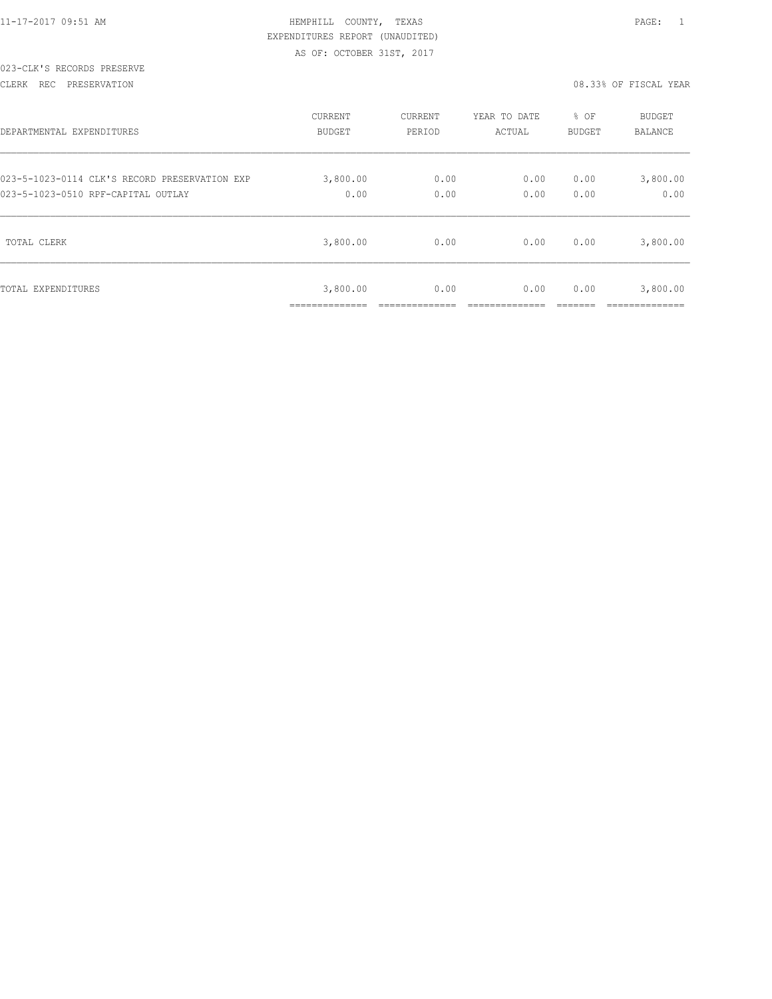|  | 11-17-2017 09:51 AM |  |
|--|---------------------|--|
|  |                     |  |

## 023-CLK'S RECORDS PRESERVE

CLERK REC PRESERVATION 08.33% OF FISCAL YEAR

| DEPARTMENTAL EXPENDITURES                     | CURRENT                    | CURRENT | YEAR TO DATE | % OF   | <b>BUDGET</b>           |
|-----------------------------------------------|----------------------------|---------|--------------|--------|-------------------------|
|                                               | BUDGET                     | PERIOD  | ACTUAL       | BUDGET | BALANCE                 |
| 023-5-1023-0114 CLK'S RECORD PRESERVATION EXP | 3,800.00                   | 0.00    | 0.00         | 0.00   | 3,800.00                |
| 023-5-1023-0510 RPF-CAPITAL OUTLAY            | 0.00                       | 0.00    | 0.00         | 0.00   | 0.00                    |
| TOTAL CLERK                                   | 3,800.00                   | 0.00    | 0.00         | 0.00   | 3,800.00                |
| TOTAL EXPENDITURES                            | 3,800.00<br>______________ | 0.00    | 0.00         | 0.00   | 3,800.00<br>___________ |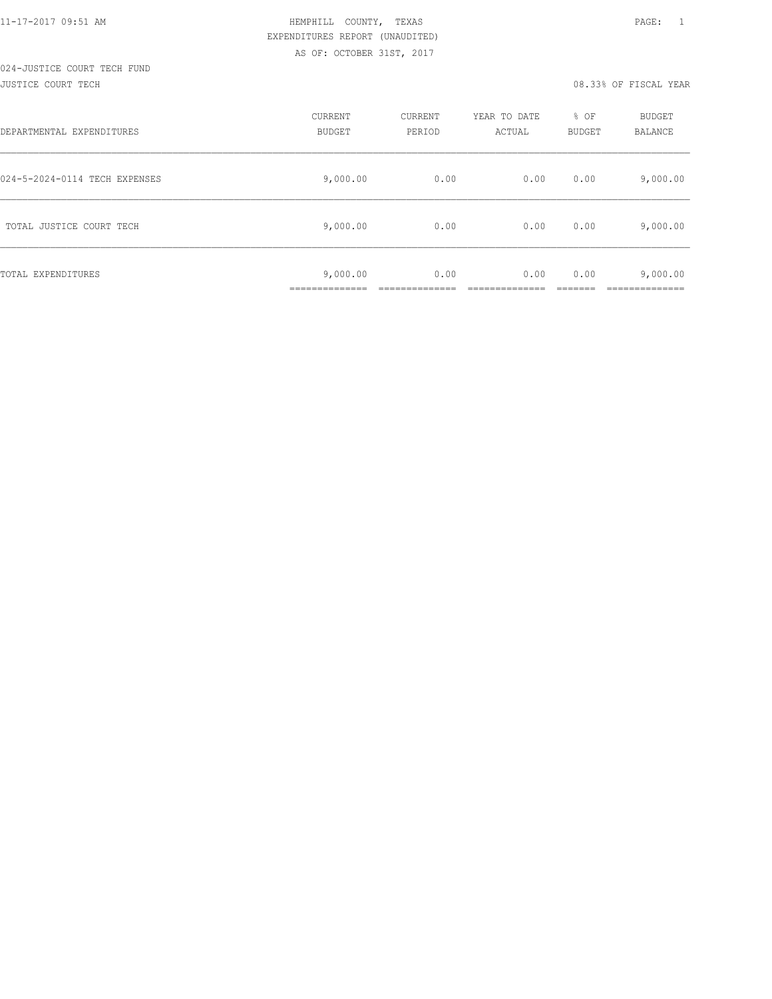#### JUSTICE COURT TECH 08.33% OF FISCAL YEAR

| DEPARTMENTAL EXPENDITURES     | CURRENT<br><b>BUDGET</b> | CURRENT<br>PERIOD | YEAR TO DATE<br>ACTUAL | % OF<br>BUDGET | <b>BUDGET</b><br>BALANCE |
|-------------------------------|--------------------------|-------------------|------------------------|----------------|--------------------------|
| 024-5-2024-0114 TECH EXPENSES | 9,000.00                 | 0.00              | 0.00                   | 0.00           | 9,000.00                 |
| TOTAL JUSTICE COURT TECH      | 9,000.00                 | 0.00              | 0.00                   | 0.00           | 9,000.00                 |
| TOTAL EXPENDITURES            | 9,000.00<br>____________ | 0.00              | 0.00                   | 0.00           | 9,000.00<br>__________   |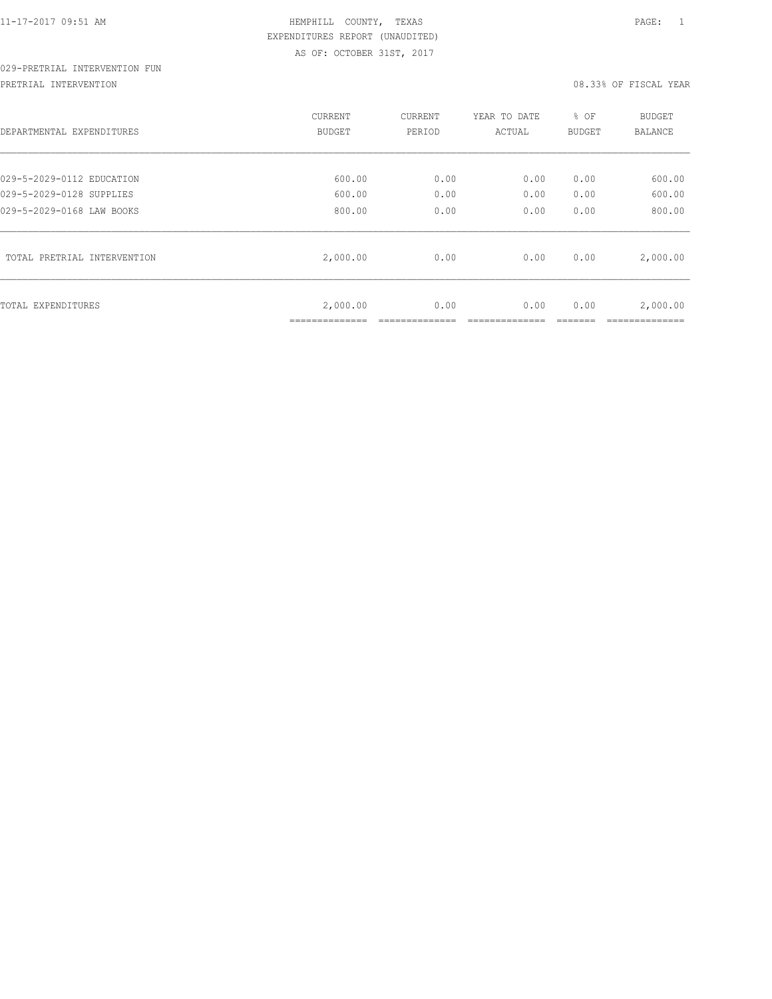# 029-PRETRIAL INTERVENTION FUN

PRETRIAL INTERVENTION 08.33% OF FISCAL YEAR

| DEPARTMENTAL EXPENDITURES                             | CURRENT<br>BUDGET          | CURRENT<br>PERIOD | YEAR TO DATE<br>ACTUAL | % OF<br>BUDGET | <b>BUDGET</b><br><b>BALANCE</b> |
|-------------------------------------------------------|----------------------------|-------------------|------------------------|----------------|---------------------------------|
|                                                       |                            |                   |                        |                | 600.00                          |
| 029-5-2029-0112 EDUCATION<br>029-5-2029-0128 SUPPLIES | 600.00<br>600.00           | 0.00<br>0.00      | 0.00<br>0.00           | 0.00<br>0.00   | 600.00                          |
|                                                       |                            |                   |                        |                |                                 |
| 029-5-2029-0168 LAW BOOKS                             | 800.00                     | 0.00              | 0.00                   | 0.00           | 800.00                          |
| TOTAL PRETRIAL INTERVENTION                           | 2,000.00                   | 0.00              | 0.00                   | 0.00           | 2,000.00                        |
| TOTAL EXPENDITURES                                    | 2,000.00<br>______________ | 0.00              | 0.00                   | 0.00           | 2,000.00                        |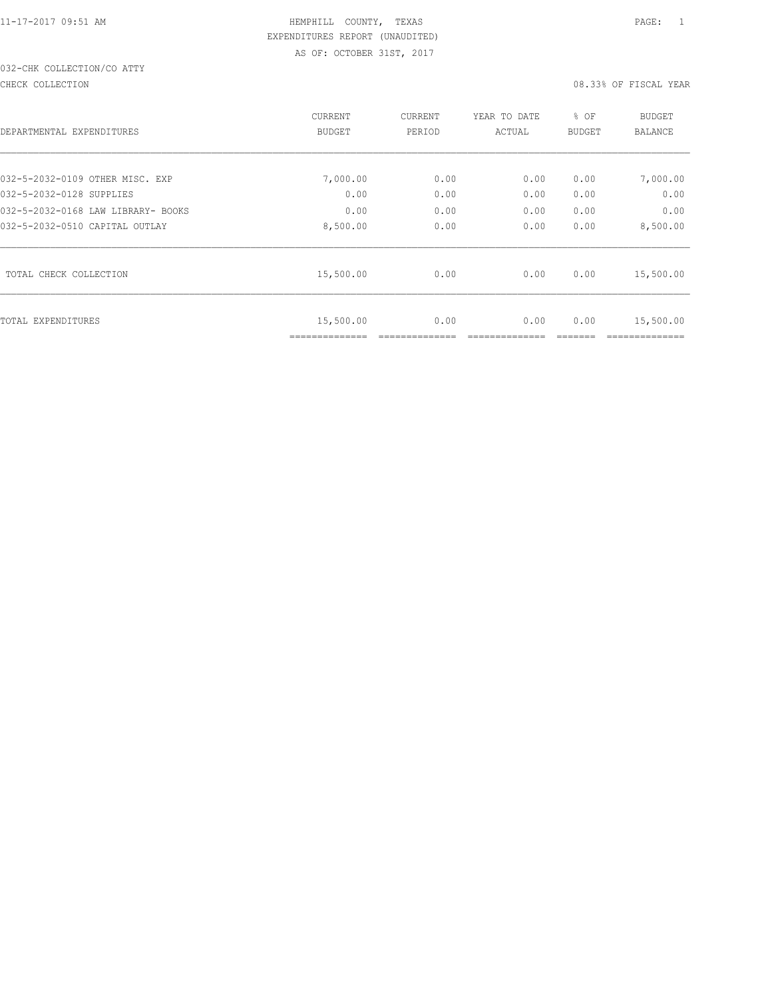# 032-CHK COLLECTION/CO ATTY

#### CHECK COLLECTION 08.33% OF FISCAL YEAR

|                                    | CURRENT                     | CURRENT | YEAR TO DATE | % OF          | <b>BUDGET</b> |
|------------------------------------|-----------------------------|---------|--------------|---------------|---------------|
| DEPARTMENTAL EXPENDITURES          | <b>BUDGET</b>               | PERIOD  | ACTUAL       | <b>BUDGET</b> | BALANCE       |
|                                    |                             |         |              |               |               |
| 032-5-2032-0109 OTHER MISC. EXP    | 7,000.00                    | 0.00    | 0.00         | 0.00          | 7,000.00      |
| 032-5-2032-0128 SUPPLIES           | 0.00                        | 0.00    | 0.00         | 0.00          | 0.00          |
| 032-5-2032-0168 LAW LIBRARY- BOOKS | 0.00                        | 0.00    | 0.00         | 0.00          | 0.00          |
| 032-5-2032-0510 CAPITAL OUTLAY     | 8,500.00                    | 0.00    | 0.00         | 0.00          | 8,500.00      |
| TOTAL CHECK COLLECTION             | 15,500.00                   | 0.00    | 0.00         | 0.00          | 15,500.00     |
| TOTAL EXPENDITURES                 | 15,500.00<br>============== | 0.00    | 0.00         | 0.00          | 15,500.00     |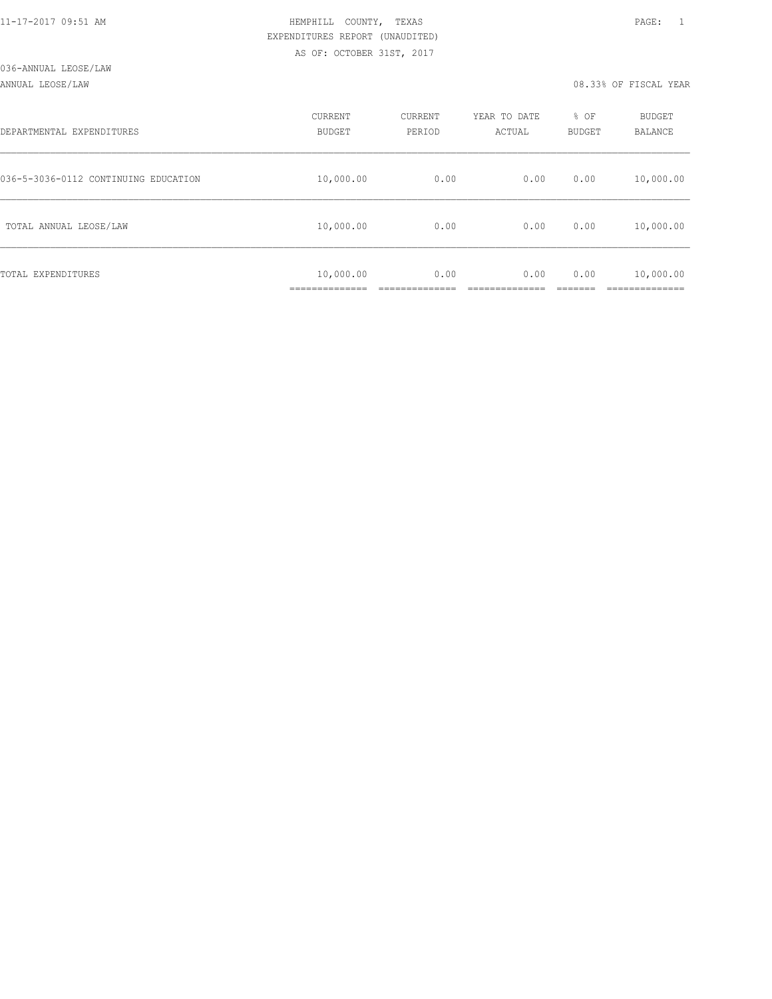#### ANNUAL LEOSE/LAW 08.33% OF FISCAL YEAR

| DEPARTMENTAL EXPENDITURES            | CURRENT<br><b>BUDGET</b>  | CURRENT<br>PERIOD | YEAR TO DATE<br>ACTUAL | % OF<br>BUDGET | BUDGET<br>BALANCE        |
|--------------------------------------|---------------------------|-------------------|------------------------|----------------|--------------------------|
| 036-5-3036-0112 CONTINUING EDUCATION | 10,000.00                 | 0.00              | 0.00                   | 0.00           | 10,000.00                |
| TOTAL ANNUAL LEOSE/LAW               | 10,000.00                 | 0.00              | 0.00                   | 0.00           | 10,000.00                |
| TOTAL EXPENDITURES                   | 10,000.00<br>____________ | 0.00              | 0.00                   | 0.00           | 10,000.00<br>----------- |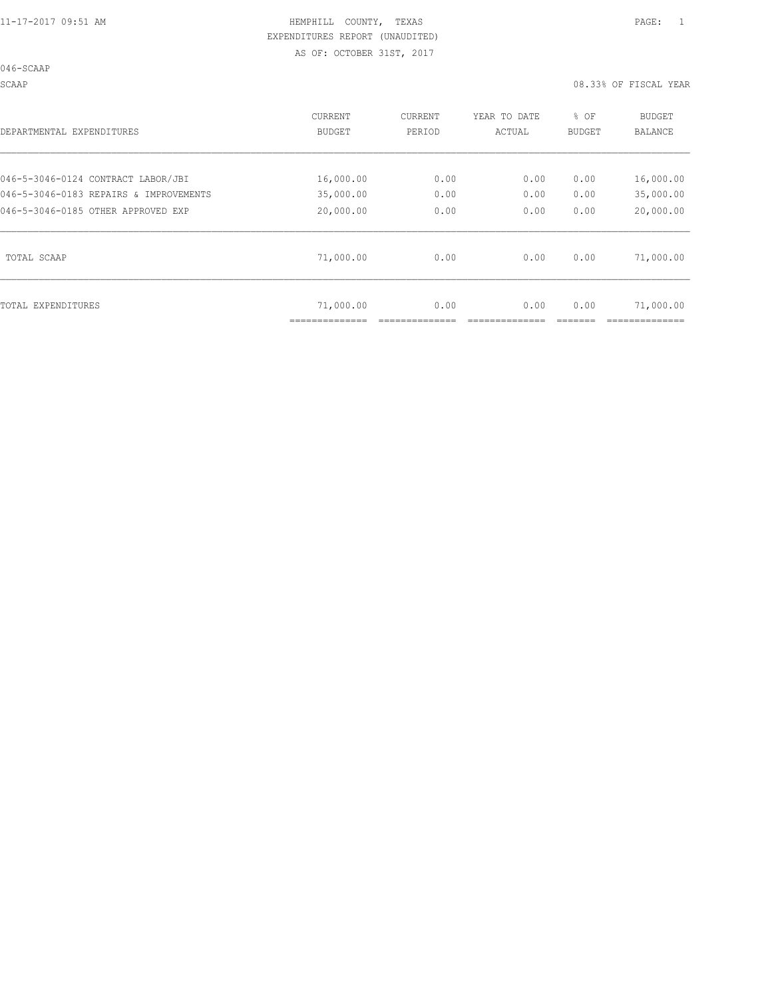SCAAP 08.33% OF FISCAL YEAR

| DEPARTMENTAL EXPENDITURES              | <b>CURRENT</b><br><b>BUDGET</b> | CURRENT<br>PERIOD | YEAR TO DATE<br>ACTUAL | % OF<br>BUDGET | <b>BUDGET</b><br><b>BALANCE</b> |
|----------------------------------------|---------------------------------|-------------------|------------------------|----------------|---------------------------------|
| 046-5-3046-0124 CONTRACT LABOR/JBI     | 16,000.00                       | 0.00              | 0.00                   | 0.00           | 16,000.00                       |
| 046-5-3046-0183 REPAIRS & IMPROVEMENTS | 35,000.00                       | 0.00              | 0.00                   | 0.00           | 35,000.00                       |
| 046-5-3046-0185 OTHER APPROVED EXP     | 20,000.00                       | 0.00              | 0.00                   | 0.00           | 20,000.00                       |
| TOTAL SCAAP                            | 71,000.00                       | 0.00              | 0.00                   | 0.00           | 71,000.00                       |
| TOTAL EXPENDITURES                     | 71,000.00                       | 0.00              | 0.00                   | 0.00           | 71,000.00                       |